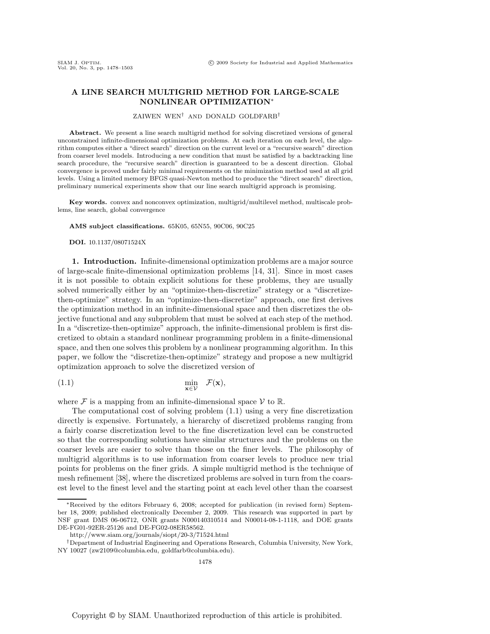# **A LINE SEARCH MULTIGRID METHOD FOR LARGE-SCALE NONLINEAR OPTIMIZATION**∗

### ZAIWEN WEN† AND DONALD GOLDFARB†

**Abstract.** We present a line search multigrid method for solving discretized versions of general unconstrained infinite-dimensional optimization problems. At each iteration on each level, the algorithm computes either a "direct search" direction on the current level or a "recursive search" direction from coarser level models. Introducing a new condition that must be satisfied by a backtracking line search procedure, the "recursive search" direction is guaranteed to be a descent direction. Global convergence is proved under fairly minimal requirements on the minimization method used at all grid levels. Using a limited memory BFGS quasi-Newton method to produce the "direct search" direction, preliminary numerical experiments show that our line search multigrid approach is promising.

**Key words.** convex and nonconvex optimization, multigrid/multilevel method, multiscale problems, line search, global convergence

**AMS subject classifications.** 65K05, 65N55, 90C06, 90C25

**DOI.** 10.1137/08071524X

**1. Introduction.** Infinite-dimensional optimization problems are a major source of large-scale finite-dimensional optimization problems [14, 31]. Since in most cases it is not possible to obtain explicit solutions for these problems, they are usually solved numerically either by an "optimize-then-discretize" strategy or a "discretizethen-optimize" strategy. In an "optimize-then-discretize" approach, one first derives the optimization method in an infinite-dimensional space and then discretizes the objective functional and any subproblem that must be solved at each step of the method. In a "discretize-then-optimize" approach, the infinite-dimensional problem is first discretized to obtain a standard nonlinear programming problem in a finite-dimensional space, and then one solves this problem by a nonlinear programming algorithm. In this paper, we follow the "discretize-then-optimize" strategy and propose a new multigrid optimization approach to solve the discretized version of

(1.1) 
$$
\min_{\mathbf{x} \in \mathcal{V}} \mathcal{F}(\mathbf{x}),
$$

where  $\mathcal F$  is a mapping from an infinite-dimensional space  $\mathcal V$  to  $\mathbb R$ .

The computational cost of solving problem (1.1) using a very fine discretization directly is expensive. Fortunately, a hierarchy of discretized problems ranging from a fairly coarse discretization level to the fine discretization level can be constructed so that the corresponding solutions have similar structures and the problems on the coarser levels are easier to solve than those on the finer levels. The philosophy of multigrid algorithms is to use information from coarser levels to produce new trial points for problems on the finer grids. A simple multigrid method is the technique of mesh refinement [38], where the discretized problems are solved in turn from the coarsest level to the finest level and the starting point at each level other than the coarsest

<sup>∗</sup>Received by the editors February 6, 2008; accepted for publication (in revised form) September 18, 2009; published electronically December 2, 2009. This research was supported in part by NSF grant DMS 06-06712, ONR grants N000140310514 and N00014-08-1-1118, and DOE grants DE-FG01-92ER-25126 and DE-FG02-08ER58562.

http://www.siam.org/journals/siopt/20-3/71524.html

<sup>†</sup>Department of Industrial Engineering and Operations Research, Columbia University, New York, NY 10027 (zw2109@columbia.edu, goldfarb@columbia.edu).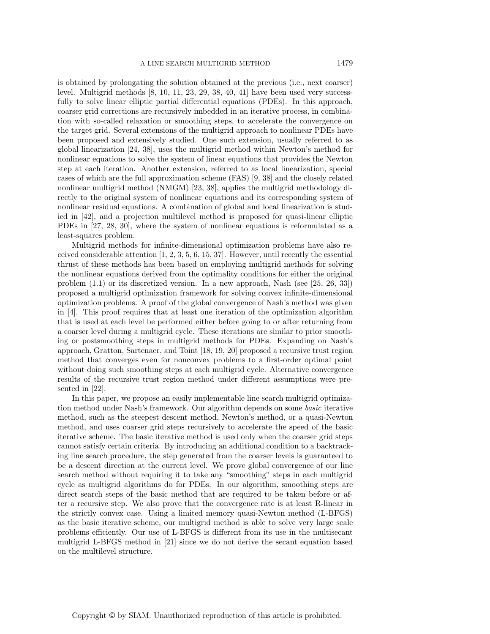is obtained by prolongating the solution obtained at the previous (i.e., next coarser) level. Multigrid methods [8, 10, 11, 23, 29, 38, 40, 41] have been used very successfully to solve linear elliptic partial differential equations (PDEs). In this approach, coarser grid corrections are recursively imbedded in an iterative process, in combination with so-called relaxation or smoothing steps, to accelerate the convergence on the target grid. Several extensions of the multigrid approach to nonlinear PDEs have been proposed and extensively studied. One such extension, usually referred to as global linearization [24, 38], uses the multigrid method within Newton's method for nonlinear equations to solve the system of linear equations that provides the Newton step at each iteration. Another extension, referred to as local linearization, special cases of which are the full approximation scheme (FAS) [9, 38] and the closely related nonlinear multigrid method (NMGM) [23, 38], applies the multigrid methodology directly to the original system of nonlinear equations and its corresponding system of nonlinear residual equations. A combination of global and local linearization is studied in [42], and a projection multilevel method is proposed for quasi-linear elliptic PDEs in [27, 28, 30], where the system of nonlinear equations is reformulated as a least-squares problem.

Multigrid methods for infinite-dimensional optimization problems have also received considerable attention  $[1, 2, 3, 5, 6, 15, 37]$ . However, until recently the essential thrust of these methods has been based on employing multigrid methods for solving the nonlinear equations derived from the optimality conditions for either the original problem (1.1) or its discretized version. In a new approach, Nash (see [25, 26, 33]) proposed a multigrid optimization framework for solving convex infinite-dimensional optimization problems. A proof of the global convergence of Nash's method was given in [4]. This proof requires that at least one iteration of the optimization algorithm that is used at each level be performed either before going to or after returning from a coarser level during a multigrid cycle. These iterations are similar to prior smoothing or postsmoothing steps in multigrid methods for PDEs. Expanding on Nash's approach, Gratton, Sartenaer, and Toint [18, 19, 20] proposed a recursive trust region method that converges even for nonconvex problems to a first-order optimal point without doing such smoothing steps at each multigrid cycle. Alternative convergence results of the recursive trust region method under different assumptions were presented in [22].

In this paper, we propose an easily implementable line search multigrid optimization method under Nash's framework. Our algorithm depends on some *basic* iterative method, such as the steepest descent method, Newton's method, or a quasi-Newton method, and uses coarser grid steps recursively to accelerate the speed of the basic iterative scheme. The basic iterative method is used only when the coarser grid steps cannot satisfy certain criteria. By introducing an additional condition to a backtracking line search procedure, the step generated from the coarser levels is guaranteed to be a descent direction at the current level. We prove global convergence of our line search method without requiring it to take any "smoothing" steps in each multigrid cycle as multigrid algorithms do for PDEs. In our algorithm, smoothing steps are direct search steps of the basic method that are required to be taken before or after a recursive step. We also prove that the convergence rate is at least R-linear in the strictly convex case. Using a limited memory quasi-Newton method (L-BFGS) as the basic iterative scheme, our multigrid method is able to solve very large scale problems efficiently. Our use of L-BFGS is different from its use in the multisecant multigrid L-BFGS method in [21] since we do not derive the secant equation based on the multilevel structure.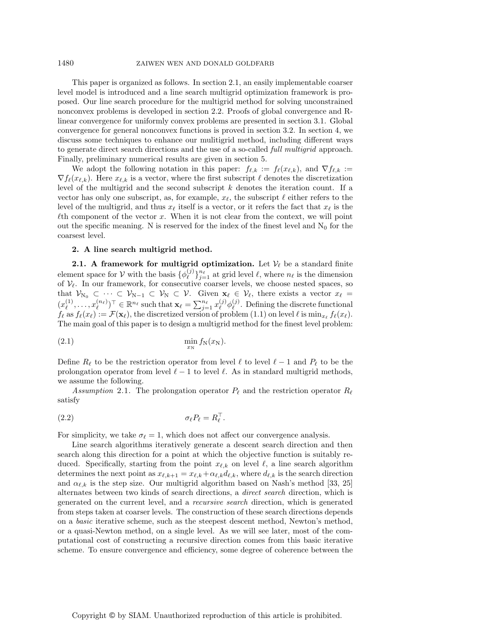This paper is organized as follows. In section 2.1, an easily implementable coarser level model is introduced and a line search multigrid optimization framework is proposed. Our line search procedure for the multigrid method for solving unconstrained nonconvex problems is developed in section 2.2. Proofs of global convergence and Rlinear convergence for uniformly convex problems are presented in section 3.1. Global convergence for general nonconvex functions is proved in section 3.2. In section 4, we discuss some techniques to enhance our mulitigrid method, including different ways to generate direct search directions and the use of a so-called *full multigrid* approach. Finally, preliminary numerical results are given in section 5.

We adopt the following notation in this paper:  $f_{\ell,k} := f_{\ell}(x_{\ell,k})$ , and  $\nabla f_{\ell,k} :=$  $\nabla f_{\ell}(x_{\ell,k})$ . Here  $x_{\ell,k}$  is a vector, where the first subscript  $\ell$  denotes the discretization level of the multigrid and the second subscript k denotes the iteration count. If a vector has only one subscript, as, for example,  $x_{\ell}$ , the subscript  $\ell$  either refers to the level of the multigrid, and thus  $x_{\ell}$  itself is a vector, or it refers the fact that  $x_{\ell}$  is the  $\ell$ th component of the vector x. When it is not clear from the context, we will point out the specific meaning. N is reserved for the index of the finest level and  $N_0$  for the coarsest level.

## **2. A line search multigrid method.**

**2.1.** A framework for multigrid optimization. Let  $V_{\ell}$  be a standard finite element space for V with the basis  $\{\phi_{\ell}^{(j)}\}_{j=1}^{n_{\ell}}$  at grid level  $\ell$ , where  $n_{\ell}$  is the dimension of  $V_{\ell}$ . In our framework, for consecutive coarser levels, we choose nested spaces, so that  $\mathcal{V}_{N_0} \subset \cdots \subset \mathcal{V}_{N-1} \subset \mathcal{V}_N \subset \mathcal{V}$ . Given  $\mathbf{x}_{\ell} \in \mathcal{V}_{\ell}$ , there exists a vector  $x_{\ell} =$  $(x^{(1)}_{\ell}, \ldots, x^{(n_{\ell})}_{\ell})$  $\mathbf{E}_{\ell}^{(n_{\ell})})^{\top} \in \mathbb{R}^{n_{\ell}}$  such that  $\mathbf{x}_{\ell} = \sum_{j=1}^{n_{\ell}} x_{\ell}^{(j)} \phi_{\ell}^{(j)}$ . Defining the discrete functional  $f_{\ell}$  as  $f_{\ell}(x_{\ell}) := \mathcal{F}(\mathbf{x}_{\ell}),$  the discretized version of problem  $(1.1)$  on level  $\ell$  is  $\min_{x_{\ell}} f_{\ell}(x_{\ell}).$ The main goal of this paper is to design a multigrid method for the finest level problem:

$$
\min_{x_N} f_N(x_N).
$$

Define  $R_{\ell}$  to be the restriction operator from level  $\ell$  to level  $\ell - 1$  and  $P_{\ell}$  to be the prolongation operator from level  $\ell - 1$  to level  $\ell$ . As in standard multigrid methods, we assume the following.

Assumption 2.1. The prolongation operator  $P_{\ell}$  and the restriction operator  $R_{\ell}$ satisfy

$$
\sigma_{\ell} P_{\ell} = R_{\ell}^{\top}.
$$

For simplicity, we take  $\sigma_{\ell} = 1$ , which does not affect our convergence analysis.

Line search algorithms iteratively generate a descent search direction and then search along this direction for a point at which the objective function is suitably reduced. Specifically, starting from the point  $x_{\ell,k}$  on level  $\ell$ , a line search algorithm determines the next point as  $x_{\ell,k+1} = x_{\ell,k} + \alpha_{\ell,k} d_{\ell,k}$ , where  $d_{\ell,k}$  is the search direction and  $\alpha_{\ell,k}$  is the step size. Our multigrid algorithm based on Nash's method [33, 25] alternates between two kinds of search directions, a *direct search* direction, which is generated on the current level, and a *recursive search* direction, which is generated from steps taken at coarser levels. The construction of these search directions depends on a *basic* iterative scheme, such as the steepest descent method, Newton's method, or a quasi-Newton method, on a single level. As we will see later, most of the computational cost of constructing a recursive direction comes from this basic iterative scheme. To ensure convergence and efficiency, some degree of coherence between the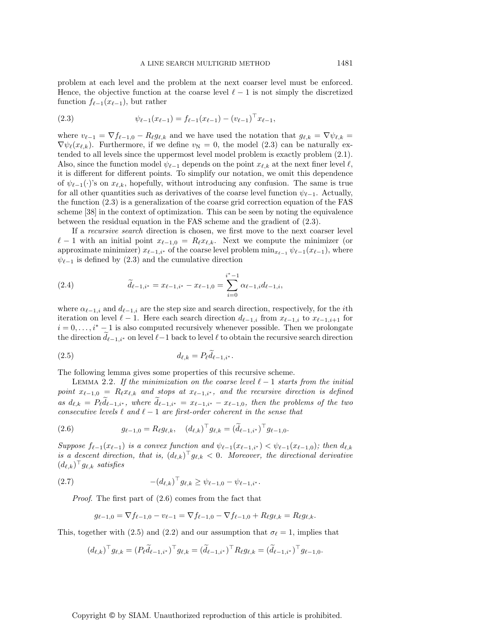problem at each level and the problem at the next coarser level must be enforced. Hence, the objective function at the coarse level  $\ell-1$  is not simply the discretized function  $f_{\ell-1}(x_{\ell-1}),$  but rather

(2.3) 
$$
\psi_{\ell-1}(x_{\ell-1}) = f_{\ell-1}(x_{\ell-1}) - (v_{\ell-1})^\top x_{\ell-1},
$$

where  $v_{\ell-1} = \nabla f_{\ell-1,0} - R_{\ell} g_{\ell,k}$  and we have used the notation that  $g_{\ell,k} = \nabla \psi_{\ell,k}$  $\nabla \psi_{\ell}(x_{\ell,k})$ . Furthermore, if we define  $v_N = 0$ , the model (2.3) can be naturally extended to all levels since the uppermost level model problem is exactly problem (2.1). Also, since the function model  $\psi_{\ell-1}$  depends on the point  $x_{\ell,k}$  at the next finer level  $\ell$ , it is different for different points. To simplify our notation, we omit this dependence of  $\psi_{\ell-1}(\cdot)$ 's on  $x_{\ell,k}$ , hopefully, without introducing any confusion. The same is true for all other quantities such as derivatives of the coarse level function  $\psi_{\ell-1}$ . Actually, the function (2.3) is a generalization of the coarse grid correction equation of the FAS scheme [38] in the context of optimization. This can be seen by noting the equivalence between the residual equation in the FAS scheme and the gradient of (2.3).

If a *recursive search* direction is chosen, we first move to the next coarser level  $\ell-1$  with an initial point  $x_{\ell-1,0} = R_{\ell}x_{\ell,k}$ . Next we compute the minimizer (or approximate minimizer)  $x_{\ell-1,i^*}$  of the coarse level problem  $\min_{x_{\ell-1}} \psi_{\ell-1}(x_{\ell-1}),$  where  $\psi_{\ell-1}$  is defined by (2.3) and the cumulative direction

(2.4) 
$$
\widetilde{d}_{\ell-1,i^*} = x_{\ell-1,i^*} - x_{\ell-1,0} = \sum_{i=0}^{i^*-1} \alpha_{\ell-1,i} d_{\ell-1,i},
$$

where  $\alpha_{\ell-1,i}$  and  $d_{\ell-1,i}$  are the step size and search direction, respectively, for the *i*th iteration on level  $\ell - 1$ . Here each search direction  $d_{\ell-1,i}$  from  $x_{\ell-1,i}$  to  $x_{\ell-1,i+1}$  for  $i = 0, \ldots, i^* - 1$  is also computed recursively whenever possible. Then we prolongate the direction  $d_{\ell-1,i^*}$  on level  $\ell-1$  back to level  $\ell$  to obtain the recursive search direction

$$
(2.5) \t d_{\ell,k} = P_{\ell} d_{\ell-1,i^*}.
$$

The following lemma gives some properties of this recursive scheme.

LEMMA 2.2. If the minimization on the coarse level  $\ell - 1$  starts from the initial  $point \ x_{\ell-1,0} \ = \ R_{\ell} x_{\ell,k}$  and stops at  $x_{\ell-1,i^*}$ , and the recursive direction is defined  $as$   $d_{\ell,k} = P_{\ell}d_{\ell-1,i^*}$ , where  $d_{\ell-1,i^*} = x_{\ell-1,i^*} - x_{\ell-1,0}$ , then the problems of the two *consecutive levels*  $\ell$  *and*  $\ell - 1$  *are first-order coherent in the sense that* 

(2.6) 
$$
g_{\ell-1,0} = R_{\ell} g_{\ell,k}, \quad (d_{\ell,k})^{\top} g_{\ell,k} = (\tilde{d}_{\ell-1,i^*})^{\top} g_{\ell-1,0}.
$$

 $Suppose \ f_{\ell-1}(x_{\ell-1}) \ \text{is a convex function and} \ \psi_{\ell-1}(x_{\ell-1,i^*}) \lt \psi_{\ell-1}(x_{\ell-1,0})$ ; then  $d_{\ell,k}$ is a descent direction, that is,  $(d_{\ell,k})^T g_{\ell,k} < 0$ . Moreover, the directional derivative  $(d_{\ell,k})$ <sup> $\mid g_{\ell,k}$ </sup> satisfies

(2.7) 
$$
-(d_{\ell,k})^{\top} g_{\ell,k} \geq \psi_{\ell-1,0} - \psi_{\ell-1,i^*}.
$$

*Proof*. The first part of (2.6) comes from the fact that

$$
g_{\ell-1,0} = \nabla f_{\ell-1,0} - v_{\ell-1} = \nabla f_{\ell-1,0} - \nabla f_{\ell-1,0} + R_{\ell} g_{\ell,k} = R_{\ell} g_{\ell,k}.
$$

This, together with (2.5) and (2.2) and our assumption that  $\sigma_{\ell} = 1$ , implies that

$$
(d_{\ell,k})^{\top} g_{\ell,k} = (P_{\ell} \widetilde{d}_{\ell-1,i^*})^{\top} g_{\ell,k} = (\widetilde{d}_{\ell-1,i^*})^{\top} R_{\ell} g_{\ell,k} = (\widetilde{d}_{\ell-1,i^*})^{\top} g_{\ell-1,0}.
$$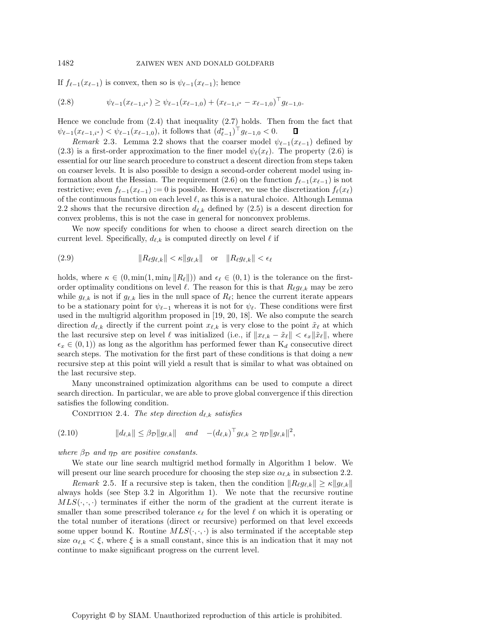If  $f_{\ell-1}(x_{\ell-1})$  is convex, then so is  $\psi_{\ell-1}(x_{\ell-1})$ ; hence

$$
(2.8) \qquad \psi_{\ell-1}(x_{\ell-1,i^*}) \ge \psi_{\ell-1}(x_{\ell-1,0}) + (x_{\ell-1,i^*} - x_{\ell-1,0})^\top g_{\ell-1,0}.
$$

Hence we conclude from (2.4) that inequality (2.7) holds. Then from the fact that  $\psi_{\ell-1}(x_{\ell-1,i^*}) < \psi_{\ell-1}(x_{\ell-1,0}),$  it follows that  $(d^*_{\ell-1})^{\dagger} g_{\ell-1,0} < 0.$ П

*Remark* 2.3. Lemma 2.2 shows that the coarser model  $\psi_{\ell-1}(x_{\ell-1})$  defined by (2.3) is a first-order approximation to the finer model  $\psi_{\ell}(x_{\ell})$ . The property (2.6) is essential for our line search procedure to construct a descent direction from steps taken on coarser levels. It is also possible to design a second-order coherent model using information about the Hessian. The requirement (2.6) on the function  $f_{\ell-1}(x_{\ell-1})$  is not restrictive; even  $f_{\ell-1}(x_{\ell-1}) := 0$  is possible. However, we use the discretization  $f_{\ell}(x_{\ell})$ of the continuous function on each level  $\ell$ , as this is a natural choice. Although Lemma 2.2 shows that the recursive direction  $d_{\ell,k}$  defined by (2.5) is a descent direction for convex problems, this is not the case in general for nonconvex problems.

We now specify conditions for when to choose a direct search direction on the current level. Specifically,  $d_{\ell,k}$  is computed directly on level  $\ell$  if

$$
(2.9) \t\t\t  $||R_{\ell}g_{\ell,k}|| < \kappa||g_{\ell,k}||$  or  $||R_{\ell}g_{\ell,k}|| < \epsilon_{\ell}$
$$

holds, where  $\kappa \in (0, \min(1, \min_{\ell} ||R_{\ell}||))$  and  $\epsilon_{\ell} \in (0, 1)$  is the tolerance on the firstorder optimality conditions on level  $\ell$ . The reason for this is that  $R_{\ell}g_{\ell,k}$  may be zero while  $g_{\ell,k}$  is not if  $g_{\ell,k}$  lies in the null space of  $R_{\ell}$ ; hence the current iterate appears to be a stationary point for  $\psi_{\ell-1}$  whereas it is not for  $\psi_{\ell}$ . These conditions were first used in the multigrid algorithm proposed in [19, 20, 18]. We also compute the search direction  $d_{\ell,k}$  directly if the current point  $x_{\ell,k}$  is very close to the point  $\tilde{x}_{\ell}$  at which the last recursive step on level  $\ell$  was initialized (i.e., if  $||x_{\ell,k} - \tilde{x}_{\ell}|| < \epsilon_x ||\tilde{x}_{\ell}||$ , where  $\epsilon_x \in (0, 1)$  as long as the algorithm has performed fewer than  $K_d$  consecutive direct search steps. The motivation for the first part of these conditions is that doing a new recursive step at this point will yield a result that is similar to what was obtained on the last recursive step.

Many unconstrained optimization algorithms can be used to compute a direct search direction. In particular, we are able to prove global convergence if this direction satisfies the following condition.

CONDITION 2.4. The step direction  $d_{\ell,k}$  satisfies

$$
(2.10) \t\t\t ||d_{\ell,k}|| \leq \beta_{\mathcal{D}} ||g_{\ell,k}|| \t and \t - (d_{\ell,k})^{\top} g_{\ell,k} \geq \eta_{\mathcal{D}} ||g_{\ell,k}||^2,
$$

*where*  $\beta_{\mathcal{D}}$  *and*  $\eta_{\mathcal{D}}$  *are positive constants.* 

We state our line search multigrid method formally in Algorithm 1 below. We will present our line search procedure for choosing the step size  $\alpha_{\ell,k}$  in subsection 2.2.

*Remark* 2.5. If a recursive step is taken, then the condition  $||R_{\ell}g_{\ell,k}|| \geq \kappa ||g_{\ell,k}||$ always holds (see Step 3.2 in Algorithm 1). We note that the recursive routine  $MLS(\cdot, \cdot)$  terminates if either the norm of the gradient at the current iterate is smaller than some prescribed tolerance  $\epsilon_{\ell}$  for the level  $\ell$  on which it is operating or the total number of iterations (direct or recursive) performed on that level exceeds some upper bound K. Routine  $MLS(\cdot, \cdot, \cdot)$  is also terminated if the acceptable step size  $\alpha_{\ell,k} < \xi$ , where  $\xi$  is a small constant, since this is an indication that it may not continue to make significant progress on the current level.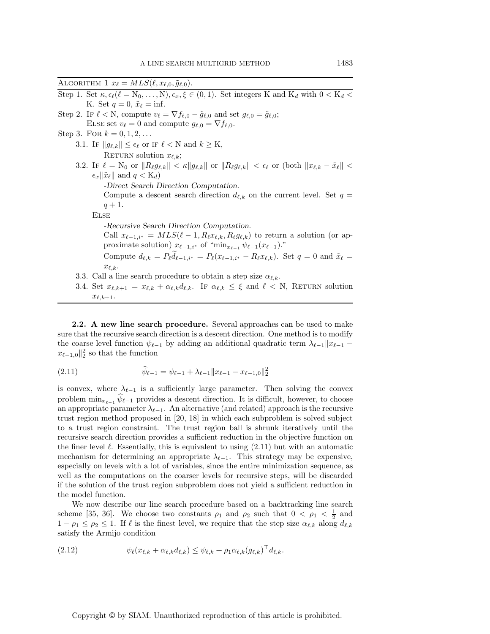ALGORITHM 1  $x_{\ell} = MLS(\ell, x_{\ell,0}, \tilde{g}_{\ell,0}).$ Step 1. Set  $\kappa, \epsilon_{\ell}(\ell = N_0, \ldots, N), \epsilon_x, \xi \in (0, 1)$ . Set integers K and K<sub>d</sub> with  $0 < K_d <$ K. Set  $q=0, \, \tilde{x}_{\ell}=\inf$ . Step 2. If  $\ell < N$ , compute  $v_{\ell} = \nabla f_{\ell,0} - \tilde{g}_{\ell,0}$  and set  $g_{\ell,0} = \tilde{g}_{\ell,0}$ ; ELSE set  $v_{\ell} = 0$  and compute  $g_{\ell,0} = \nabla f_{\ell,0}$ . Step 3. For  $k = 0, 1, 2, ...$ 3.1. IF  $||g_{\ell,k}|| \leq \epsilon_{\ell}$  or IF  $\ell < N$  and  $k \geq K$ , RETURN solution  $x_{\ell,k}$ ; 3.2. If  $\ell = N_0$  or  $||R_{\ell}g_{\ell,k}|| < \kappa ||g_{\ell,k}||$  or  $||R_{\ell}g_{\ell,k}|| < \epsilon_{\ell}$  or (both  $||x_{\ell,k} - \tilde{x}_{\ell}|| <$  $\epsilon_x \|\tilde{x}_\ell\|$  and  $q < K_d$ ) *-Direct Search Direction Computation.* Compute a descent search direction  $d_{\ell,k}$  on the current level. Set  $q =$ 

 $q + 1.$ 

Else

*-Recursive Search Direction Computation.* Call  $x_{\ell-1,i^*} = MLS(\ell-1, R_{\ell}x_{\ell,k}, R_{\ell}g_{\ell,k})$  to return a solution (or approximate solution)  $x_{\ell-1,i^*}$  of " $\min_{x_{\ell-1}} \psi_{\ell-1}(x_{\ell-1})$ ."

Compute  $d_{\ell,k} = P_{\ell}d_{\ell-1,i^*} = P_{\ell}(x_{\ell-1,i^*} - R_{\ell}x_{\ell,k})$ . Set  $q = 0$  and  $\tilde{x}_{\ell} =$  $x_{\ell,k}$ .

- 3.3. Call a line search procedure to obtain a step size  $\alpha_{\ell,k}$ .
- 3.4. Set  $x_{\ell,k+1} = x_{\ell,k} + \alpha_{\ell,k} d_{\ell,k}$ . If  $\alpha_{\ell,k} \leq \xi$  and  $\ell < N$ , RETURN solution  $x_{\ell,k+1}.$

**2.2. A new line search procedure.** Several approaches can be used to make sure that the recursive search direction is a descent direction. One method is to modify the coarse level function  $\psi_{\ell-1}$  by adding an additional quadratic term  $\lambda_{\ell-1} || x_{\ell-1}$  $x_{\ell-1,0}$ ||<sup>2</sup> so that the function

(2.11) 
$$
\widehat{\psi}_{\ell-1} = \psi_{\ell-1} + \lambda_{\ell-1} ||x_{\ell-1} - x_{\ell-1,0}||_2^2
$$

is convex, where  $\lambda_{\ell-1}$  is a sufficiently large parameter. Then solving the convex problem  $\min_{x_{\ell-1}} \psi_{\ell-1}$  provides a descent direction. It is difficult, however, to choose an appropriate parameter  $\lambda_{\ell-1}$ . An alternative (and related) approach is the recursive trust region method proposed in [20, 18] in which each subproblem is solved subject to a trust region constraint. The trust region ball is shrunk iteratively until the recursive search direction provides a sufficient reduction in the objective function on the finer level  $\ell$ . Essentially, this is equivalent to using  $(2.11)$  but with an automatic mechanism for determining an appropriate  $\lambda_{\ell-1}$ . This strategy may be expensive, especially on levels with a lot of variables, since the entire minimization sequence, as well as the computations on the coarser levels for recursive steps, will be discarded if the solution of the trust region subproblem does not yield a sufficient reduction in the model function.

We now describe our line search procedure based on a backtracking line search scheme [35, 36]. We choose two constants  $\rho_1$  and  $\rho_2$  such that  $0 < \rho_1 < \frac{1}{2}$  and  $1 - \rho_1 \leq \rho_2 \leq 1$ . If  $\ell$  is the finest level, we require that the step size  $\alpha_{\ell,k}$  along  $d_{\ell,k}$ satisfy the Armijo condition

$$
(2.12) \t\t \psi_{\ell}(x_{\ell,k} + \alpha_{\ell,k}d_{\ell,k}) \leq \psi_{\ell,k} + \rho_1 \alpha_{\ell,k} (g_{\ell,k})^{\perp} d_{\ell,k}.
$$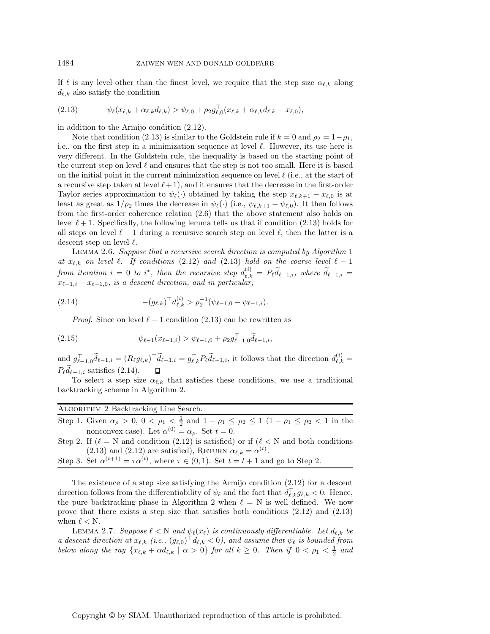If  $\ell$  is any level other than the finest level, we require that the step size  $\alpha_{\ell,k}$  along  $d_{\ell,k}$  also satisfy the condition

$$
(2.13) \t\t \psi_{\ell}(x_{\ell,k} + \alpha_{\ell,k}d_{\ell,k}) > \psi_{\ell,0} + \rho_2 g_{\ell,0}^{\perp}(x_{\ell,k} + \alpha_{\ell,k}d_{\ell,k} - x_{\ell,0}),
$$

in addition to the Armijo condition (2.12).

Note that condition (2.13) is similar to the Goldstein rule if  $k = 0$  and  $\rho_2 = 1 - \rho_1$ , i.e., on the first step in a minimization sequence at level  $\ell$ . However, its use here is very different. In the Goldstein rule, the inequality is based on the starting point of the current step on level  $\ell$  and ensures that the step is not too small. Here it is based on the initial point in the current minimization sequence on level  $\ell$  (i.e., at the start of a recursive step taken at level  $(\ell+1)$ , and it ensures that the decrease in the first-order Taylor series approximation to  $\psi_{\ell}(\cdot)$  obtained by taking the step  $x_{\ell,k+1} - x_{\ell,0}$  is at least as great as  $1/\rho_2$  times the decrease in  $\psi_{\ell}(\cdot)$  (i.e.,  $\psi_{\ell,k+1} - \psi_{\ell,0}$ ). It then follows from the first-order coherence relation (2.6) that the above statement also holds on level  $\ell + 1$ . Specifically, the following lemma tells us that if condition (2.13) holds for all steps on level  $\ell - 1$  during a recursive search step on level  $\ell$ , then the latter is a descent step on level  $\ell$ .

Lemma 2.6. *Suppose that a recursive search direction is computed by Algorithm* 1 at  $x_{\ell,k}$  on level  $\ell$ . If conditions (2.12) and (2.13) hold on the coarse level  $\ell-1$ *from iteration*  $i = 0$  *to*  $i^*$ , *then the recursive step*  $d_{\ell,k}^{(i)}$  $\ell_{\ell,k}^{(i)} = P_{\ell} d_{\ell-1,i}, \text{ where } d_{\ell-1,i} =$  $x_{\ell-1,i} - x_{\ell-1,0}$ , is a descent direction, and in particular,

(2.14) 
$$
-(g_{\ell,k})^{\top}d_{\ell,k}^{(i)} > \rho_2^{-1}(\psi_{\ell-1,0} - \psi_{\ell-1,i}).
$$

*Proof.* Since on level  $\ell - 1$  condition (2.13) can be rewritten as

(2.15) 
$$
\psi_{\ell-1}(x_{\ell-1,i}) > \psi_{\ell-1,0} + \rho_2 g_{\ell-1,0}^{\top} \tilde{d}_{\ell-1,i},
$$

and  $g_{\ell-1,0}^{\top} \tilde{d}_{\ell-1,i} = (R_{\ell} g_{\ell,k})^{\top} \tilde{d}_{\ell-1,i} = g_{\ell,k}^{\top} P_{\ell} \tilde{d}_{\ell-1,i}$ , it follows that the direction  $d_{\ell,k}^{(i)}$  $\binom{u}{\ell,k} =$  $P_{\ell}d_{\ell-1,i}$  satisfies (2.14).  $\Box$ 

To select a step size  $\alpha_{\ell,k}$  that satisfies these conditions, we use a traditional backtracking scheme in Algorithm 2.

| ALGORITHM 2 Backtracking Line Search.                                                                                                |
|--------------------------------------------------------------------------------------------------------------------------------------|
| Step 1. Given $\alpha_{\rho} > 0$ , $0 < \rho_1 < \frac{1}{2}$ and $1 - \rho_1 \le \rho_2 \le 1$ $(1 - \rho_1 \le \rho_2 < 1$ in the |
| nonconvex case). Let $\alpha^{(0)} = \alpha_o$ . Set $t = 0$ .                                                                       |
| Step 2. If $(\ell = N \text{ and condition } (2.12)$ is satisfied) or if $(\ell < N \text{ and both conditions})$                    |

(2.13) and (2.12) are satisfied), RETURN  $\alpha_{\ell,k} = \alpha^{(t)}$ . Step 3. Set  $\alpha^{(t+1)} = \tau \alpha^{(t)}$ , where  $\tau \in (0,1)$ . Set  $t = t + 1$  and go to Step 2.

The existence of a step size satisfying the Armijo condition (2.12) for a descent direction follows from the differentiability of  $\psi_{\ell}$  and the fact that  $d_{\ell,k}^{\perp} g_{\ell,k} < 0$ . Hence, the pure backtracking phase in Algorithm 2 when  $\ell = N$  is well defined. We now prove that there exists a step size that satisfies both conditions (2.12) and (2.13) when  $\ell < N$ .

LEMMA 2.7. *Suppose*  $\ell < N$  *and*  $\psi_{\ell}(x_{\ell})$  *is continuously differentiable. Let*  $d_{\ell,k}$  *be a* descent direction at  $x_{\ell,k}$  (i.e.,  $(g_{\ell,0})^{\top} d_{\ell,k} < 0$ ), and assume that  $\psi_{\ell}$  is bounded from *below along the ray*  $\{x_{\ell,k} + \alpha d_{\ell,k} \mid \alpha > 0\}$  *for all*  $k \geq 0$ *. Then if*  $0 < \rho_1 < \frac{1}{2}$  *and*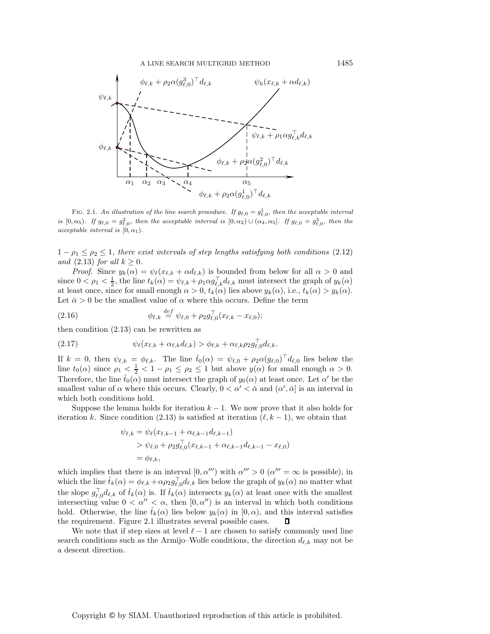

FIG. 2.1. An illustration of the line search procedure. If  $g_{\ell,0} = g_{\ell,0}^1$ , then the acceptable interval is  $[0, \alpha_5)$ . If  $g_{\ell,0} = g_{\ell,0}^2$ , then the acceptable interval is  $[0, \alpha_2) \cup (\alpha_4, \alpha_5]$ . If  $g_{\ell,0} = g_{\ell,0}^3$ , then the acceptable interval is  $[0, \alpha_1)$ .

 $1 - \rho_1 \leq \rho_2 \leq 1$ , there exist intervals of step lengths satisfying both conditions (2.12) *and* (2.13) *for all*  $k \geq 0$ *.* 

*Proof.* Since  $y_k(\alpha) = \psi_\ell(x_{\ell,k} + \alpha d_{\ell,k})$  is bounded from below for all  $\alpha > 0$  and since  $0 < \rho_1 < \frac{1}{2}$ , the line  $t_k(\alpha) = \psi_{\ell,k} + \rho_1 \alpha g_{\ell,k}^\top d_{\ell,k}$  must intersect the graph of  $y_k(\alpha)$ at least once, since for small enough  $\alpha > 0$ ,  $t_k(\alpha)$  lies above  $y_k(\alpha)$ , i.e.,  $t_k(\alpha) > y_k(\alpha)$ . Let  $\bar{\alpha} > 0$  be the smallest value of  $\alpha$  where this occurs. Define the term

(2.16) 
$$
\phi_{\ell,k} \stackrel{def}{=} \psi_{\ell,0} + \rho_2 g_{\ell,0}^{\top} (x_{\ell,k} - x_{\ell,0});
$$

then condition (2.13) can be rewritten as

$$
(2.17) \t\t \psi_{\ell}(x_{\ell,k} + \alpha_{\ell,k}d_{\ell,k}) > \phi_{\ell,k} + \alpha_{\ell,k}\rho_2 g_{\ell,0}^{\perp}d_{\ell,k}.
$$

If  $k = 0$ , then  $\psi_{\ell,k} = \phi_{\ell,k}$ . The line  $\hat{t}_0(\alpha) = \psi_{\ell,0} + \rho_2 \alpha(g_{\ell,0})^\top d_{\ell,0}$  lies below the line  $t_0(\alpha)$  since  $\rho_1 < \frac{1}{2} < 1 - \rho_1 \le \rho_2 \le 1$  but above  $y(\alpha)$  for small enough  $\alpha > 0$ . Therefore, the line  $\hat{t}_0(\alpha)$  must intersect the graph of  $y_0(\alpha)$  at least once. Let  $\alpha'$  be the smallest value of  $\alpha$  where this occurs. Clearly,  $0 < \alpha' < \bar{\alpha}$  and  $(\alpha', \bar{\alpha}]$  is an interval in which both conditions hold.

Suppose the lemma holds for iteration  $k - 1$ . We now prove that it also holds for iteration k. Since condition (2.13) is satisfied at iteration  $(\ell, k-1)$ , we obtain that

$$
\psi_{\ell,k} = \psi_{\ell}(x_{\ell,k-1} + \alpha_{\ell,k-1}d_{\ell,k-1})
$$
  
>  $\psi_{\ell,0} + \rho_2 g_{\ell,0}^{\top}(x_{\ell,k-1} + \alpha_{\ell,k-1}d_{\ell,k-1} - x_{\ell,0})$   
=  $\phi_{\ell,k}$ ,

which implies that there is an interval  $[0, \alpha'')$  with  $\alpha'' > 0$   $(\alpha''' = \infty$  is possible), in which the line  $\hat{t}_k(\alpha) = \phi_{\ell,k} + \alpha \rho_2 g_{\ell,0}^\top d_{\ell,k}$  lies below the graph of  $y_k(\alpha)$  no matter what the slope  $g_{\ell,0}^{\top}d_{\ell,k}$  of  $\hat{t}_k(\alpha)$  is. If  $\hat{t}_k(\alpha)$  intersects  $y_k(\alpha)$  at least once with the smallest intersecting value  $0 < \alpha'' < \alpha$ , then  $[0, \alpha'']$  is an interval in which both conditions hold. Otherwise, the line  $\hat{t}_k(\alpha)$  lies below  $y_k(\alpha)$  in  $[0, \alpha)$ , and this interval satisfies the requirement. Figure 2.1 illustrates several possible cases.  $\Box$ 

We note that if step sizes at level  $\ell - 1$  are chosen to satisfy commonly used line search conditions such as the Armijo–Wolfe conditions, the direction  $d_{\ell,k}$  may not be a descent direction.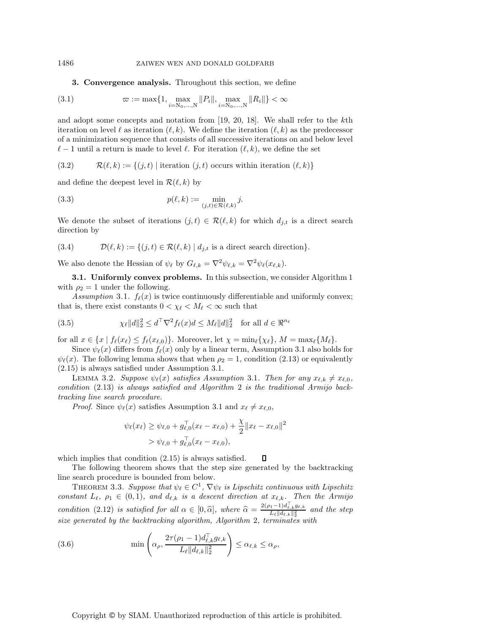### 1486 ZAIWEN WEN AND DONALD GOLDFARB

### **3. Convergence analysis.** Throughout this section, we define

(3.1) 
$$
\varpi := \max\{1, \max_{i=N_0,\dots,N} ||P_i||, \max_{i=N_0,\dots,N} ||R_i||\} < \infty
$$

and adopt some concepts and notation from [19, 20, 18]. We shall refer to the kth iteration on level  $\ell$  as iteration  $(\ell, k)$ . We define the iteration  $(\ell, k)$  as the predecessor of a minimization sequence that consists of all successive iterations on and below level  $\ell-1$  until a return is made to level  $\ell$ . For iteration  $(\ell, k)$ , we define the set

 $(3.2)$  $(k, k) := \{(j, t) \mid \text{iteration } (j, t) \text{ occurs within iteration } (\ell, k)\}.$ 

and define the deepest level in  $\mathcal{R}(\ell, k)$  by

(3.3) 
$$
p(\ell,k) := \min_{(j,t)\in\mathcal{R}(\ell,k)} j.
$$

We denote the subset of iterations  $(j, t) \in \mathcal{R}(\ell, k)$  for which  $d_{j,t}$  is a direct search direction by

(3.4) 
$$
\mathcal{D}(\ell,k) := \{(j,t) \in \mathcal{R}(\ell,k) \mid d_{j,t} \text{ is a direct search direction}\}.
$$

We also denote the Hessian of  $\psi_{\ell}$  by  $G_{\ell,k} = \nabla^2 \psi_{\ell,k} = \nabla^2 \psi_{\ell}(x_{\ell,k}).$ 

**3.1. Uniformly convex problems.** In this subsection, we consider Algorithm 1 with  $\rho_2 = 1$  under the following.

Assumption 3.1.  $f_{\ell}(x)$  is twice continuously differentiable and uniformly convex; that is, there exist constants  $0 < \chi_{\ell} < M_{\ell} < \infty$  such that

(3.5) 
$$
\chi_{\ell}||d||_2^2 \leq d^{\top}\nabla^2 f_{\ell}(x)d \leq M_{\ell}||d||_2^2 \text{ for all } d \in \mathbb{R}^{n_{\ell}}
$$

for all  $x \in \{x \mid f_{\ell}(x_{\ell}) \leq f_{\ell}(x_{\ell,0})\}$ . Moreover, let  $\chi = \min_{\ell} {\{\chi_{\ell}\}}$ ,  $M = \max_{\ell} {\{M_{\ell}\}}$ .

Since  $\psi_{\ell}(x)$  differs from  $f_{\ell}(x)$  only by a linear term, Assumption 3.1 also holds for  $\psi_{\ell}(x)$ . The following lemma shows that when  $\rho_2 = 1$ , condition (2.13) or equivalently (2.15) is always satisfied under Assumption 3.1.

LEMMA 3.2. Suppose  $\psi_{\ell}(x)$  satisfies Assumption 3.1. Then for any  $x_{\ell,k} \neq x_{\ell,0}$ , *condition* (2.13) *is always satisfied and Algorithm* 2 *is the traditional Armijo backtracking line search procedure.*

*Proof.* Since  $\psi_{\ell}(x)$  satisfies Assumption 3.1 and  $x_{\ell} \neq x_{\ell,0}$ ,

$$
\psi_{\ell}(x_{\ell}) \geq \psi_{\ell,0} + g_{\ell,0}^{\top}(x_{\ell} - x_{\ell,0}) + \frac{\chi}{2} ||x_{\ell} - x_{\ell,0}||^2
$$
  
>  $\psi_{\ell,0} + g_{\ell,0}^{\top}(x_{\ell} - x_{\ell,0}),$ 

which implies that condition (2.15) is always satisfied. O

The following theorem shows that the step size generated by the backtracking line search procedure is bounded from below.

THEOREM 3.3. Suppose that  $\psi_{\ell} \in C^1$ ,  $\nabla \psi_{\ell}$  is Lipschitz continuous with Lipschitz *constant*  $L_{\ell}$ ,  $\rho_1 \in (0,1)$ , and  $d_{\ell,k}$  is a descent direction at  $x_{\ell,k}$ . Then the Armijo *condition* (2.12) *is satisfied for all*  $\alpha \in [0, \hat{\alpha}]$ , where  $\hat{\alpha} = \frac{2(\rho_1 - 1)d_{\ell,k}g_{\ell,k}}{L_{\ell}||d_{\ell,k}||_2^2}$  and the step *size generated by the backtracking algorithm, Algorithm* 2*, terminates with*

(3.6) 
$$
\min\left(\alpha_{\rho}, \frac{2\tau(\rho_1 - 1)d_{\ell,k}^{\top}g_{\ell,k}}{L_{\ell}||d_{\ell,k}||_2^2}\right) \leq \alpha_{\ell,k} \leq \alpha_{\rho},
$$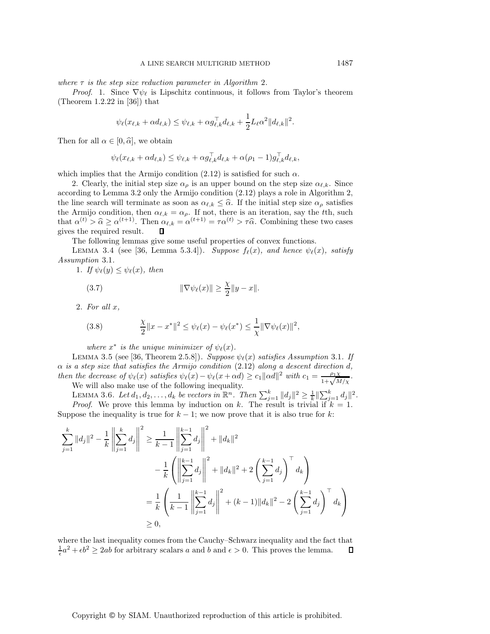*where*  $\tau$  *is the step size reduction parameter in Algorithm 2.* 

*Proof.* 1. Since  $\nabla \psi_{\ell}$  is Lipschitz continuous, it follows from Taylor's theorem (Theorem 1.2.22 in [36]) that

$$
\psi_{\ell}(x_{\ell,k} + \alpha d_{\ell,k}) \leq \psi_{\ell,k} + \alpha g_{\ell,k}^{\top} d_{\ell,k} + \frac{1}{2} L_{\ell} \alpha^2 \|d_{\ell,k}\|^2.
$$

Then for all  $\alpha \in [0, \hat{\alpha}]$ , we obtain

$$
\psi_{\ell}(x_{\ell,k} + \alpha d_{\ell,k}) \leq \psi_{\ell,k} + \alpha g_{\ell,k}^{\top} d_{\ell,k} + \alpha(\rho_1 - 1) g_{\ell,k}^{\top} d_{\ell,k},
$$

which implies that the Armijo condition (2.12) is satisfied for such  $\alpha$ .

2. Clearly, the initial step size  $\alpha_{\rho}$  is an upper bound on the step size  $\alpha_{\ell,k}$ . Since according to Lemma 3.2 only the Armijo condition (2.12) plays a role in Algorithm 2, the line search will terminate as soon as  $\alpha_{\ell,k} \leq \hat{\alpha}$ . If the initial step size  $\alpha_{\rho}$  satisfies<br>the Armijo condition, then  $\alpha_{\ell,k} = \alpha$ . If not, there is an iteration say the the such the Armijo condition, then  $\alpha_{\ell,k} = \alpha_{\rho}$ . If not, there is an iteration, say the tth, such that  $\alpha^{(t)} > \hat{\alpha} \ge \alpha^{(t+1)}$ . Then  $\alpha_{\ell,k} = \alpha^{(t+1)} = \tau \alpha^{(t)} > \tau \hat{\alpha}$ . Combining these two cases gives the required result  $\Box$ gives the required result.

The following lemmas give some useful properties of convex functions.

LEMMA 3.4 (see [36, Lemma 5.3.4]). *Suppose*  $f_{\ell}(x)$ *, and hence*  $\psi_{\ell}(x)$ *, satisfy Assumption* 3.1*.*

1. If  $\psi_{\ell}(y) \leq \psi_{\ell}(x)$ , then

(3.7) 
$$
\|\nabla \psi_{\ell}(x)\| \geq \frac{\chi}{2} \|y - x\|.
$$

2. *For all* x*,*

(3.8) 
$$
\frac{\chi}{2} \|x - x^*\|^2 \leq \psi_{\ell}(x) - \psi_{\ell}(x^*) \leq \frac{1}{\chi} \|\nabla \psi_{\ell}(x)\|^2,
$$

*where*  $x^*$  *is the unique minimizer of*  $\psi_{\ell}(x)$ *.* 

LEMMA 3.5 (see [36, Theorem 2.5.8]). *Suppose*  $\psi_{\ell}(x)$  *satisfies Assumption* 3.1. If α *is a step size that satisfies the Armijo condition* (2.12) *along a descent direction* d*, then the decrease of*  $\psi_{\ell}(x)$  *satisfies*  $\psi_{\ell}(x) - \psi_{\ell}(x + \alpha d) \geq c_1 ||\alpha d||^2$  with  $c_1 = \frac{\rho_1 \chi}{1 + \sqrt{M/\chi}}$ .

We will also make use of the following inequality.

LEMMA 3.6. Let  $d_1, d_2, \ldots, d_k$  be vectors in  $\mathbb{R}^n$ . Then  $\sum_{j=1}^k ||d_j||^2 \geq \frac{1}{k} \|\sum_{j=1}^k d_j\|^2$ . *Proof.* We prove this lemma by induction on k. The result is trivial if  $k = 1$ . Suppose the inequality is true for  $k - 1$ ; we now prove that it is also true for k:

$$
\sum_{j=1}^{k} ||d_j||^2 - \frac{1}{k} \left\| \sum_{j=1}^{k} d_j \right\|^2 \ge \frac{1}{k-1} \left\| \sum_{j=1}^{k-1} d_j \right\|^2 + ||d_k||^2
$$
  

$$
- \frac{1}{k} \left( \left\| \sum_{j=1}^{k-1} d_j \right\|^2 + ||d_k||^2 + 2 \left( \sum_{j=1}^{k-1} d_j \right)^{\top} d_k \right)
$$
  

$$
= \frac{1}{k} \left( \frac{1}{k-1} \left\| \sum_{j=1}^{k-1} d_j \right\|^2 + (k-1) ||d_k||^2 - 2 \left( \sum_{j=1}^{k-1} d_j \right)^{\top} d_k \right)
$$
  

$$
\ge 0,
$$

where the last inequality comes from the Cauchy–Schwarz inequality and the fact that  $\frac{1}{\epsilon}a^2 + \epsilon b^2 \ge 2ab$  for arbitrary scalars a and b and  $\epsilon > 0$ . This proves the lemma.  $\Box$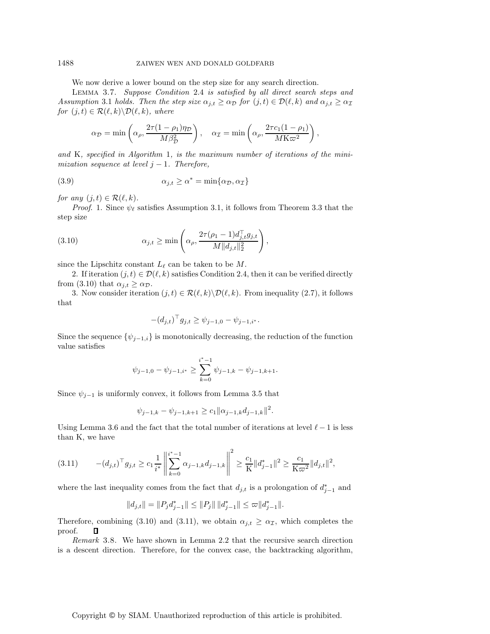### 1488 ZAIWEN WEN AND DONALD GOLDFARB

We now derive a lower bound on the step size for any search direction.

Lemma 3.7. *Suppose Condition* 2.4 *is satisfied by all direct search steps and Assumption* 3.1 *holds. Then the step size*  $\alpha_{j,t} \geq \alpha_{\mathcal{D}}$  *for*  $(j,t) \in \mathcal{D}(\ell, k)$  *and*  $\alpha_{j,t} \geq \alpha_{\mathcal{D}}$  $for (j,t) \in \mathcal{R}(\ell,k) \backslash \mathcal{D}(\ell,k),$  where

$$
\alpha_{\mathcal{D}} = \min\left(\alpha_{\rho}, \frac{2\tau(1-\rho_1)\eta_{\mathcal{D}}}{M\beta_{\mathcal{D}}^2}\right), \quad \alpha_{\mathcal{I}} = \min\left(\alpha_{\rho}, \frac{2\tau c_1(1-\rho_1)}{M\mathrm{K}\varpi^2}\right),\,
$$

*and* K*, specified in Algorithm* 1*, is the maximum number of iterations of the minimization sequence at level*  $j - 1$ *. Therefore,* 

(3.9) 
$$
\alpha_{j,t} \ge \alpha^* = \min\{\alpha_{\mathcal{D}}, \alpha_{\mathcal{I}}\}
$$

*for any*  $(j,t) \in \mathcal{R}(\ell, k)$ .

*Proof.* 1. Since  $\psi_{\ell}$  satisfies Assumption 3.1, it follows from Theorem 3.3 that the step size

(3.10) 
$$
\alpha_{j,t} \geq \min \left( \alpha_{\rho}, \frac{2\tau(\rho_1 - 1)d_{j,t}^{\top}g_{j,t}}{M||d_{j,t}||_2^2} \right),
$$

since the Lipschitz constant  $L_{\ell}$  can be taken to be M.

2. If iteration  $(j, t) \in \mathcal{D}(\ell, k)$  satisfies Condition 2.4, then it can be verified directly from (3.10) that  $\alpha_{j,t} \geq \alpha_{\mathcal{D}}$ .

3. Now consider iteration  $(j, t) \in \mathcal{R}(\ell, k) \backslash \mathcal{D}(\ell, k)$ . From inequality  $(2.7)$ , it follows that

$$
-(d_{j,t})^{\top} g_{j,t} \geq \psi_{j-1,0} - \psi_{j-1,i^*}.
$$

Since the sequence  $\{\psi_{j-1,i}\}\$ is monotonically decreasing, the reduction of the function value satisfies

$$
\psi_{j-1,0} - \psi_{j-1,i^*} \ge \sum_{k=0}^{i^*-1} \psi_{j-1,k} - \psi_{j-1,k+1}.
$$

Since  $\psi_{j-1}$  is uniformly convex, it follows from Lemma 3.5 that

$$
\psi_{j-1,k} - \psi_{j-1,k+1} \ge c_1 \|\alpha_{j-1,k} d_{j-1,k}\|^2.
$$

Using Lemma 3.6 and the fact that the total number of iterations at level  $\ell - 1$  is less than K, we have

$$
(3.11) \t - (d_{j,t})^\top g_{j,t} \ge c_1 \frac{1}{i^*} \left\| \sum_{k=0}^{i^*-1} \alpha_{j-1,k} d_{j-1,k} \right\|^2 \ge \frac{c_1}{K} \|d_{j-1}^*\|^2 \ge \frac{c_1}{K \varpi^2} \|d_{j,t}\|^2,
$$

where the last inequality comes from the fact that  $d_{j,t}$  is a prolongation of  $d_{j-1}^*$  and

$$
||d_{j,t}|| = ||P_j d_{j-1}^*|| \le ||P_j|| \, ||d_{j-1}^*|| \le \varpi ||d_{j-1}^*||.
$$

Therefore, combining (3.10) and (3.11), we obtain  $\alpha_{j,t} \geq \alpha_{\mathcal{I}}$ , which completes the proof.  $\Box$ proof.

*Remark* 3.8. We have shown in Lemma 2.2 that the recursive search direction is a descent direction. Therefore, for the convex case, the backtracking algorithm,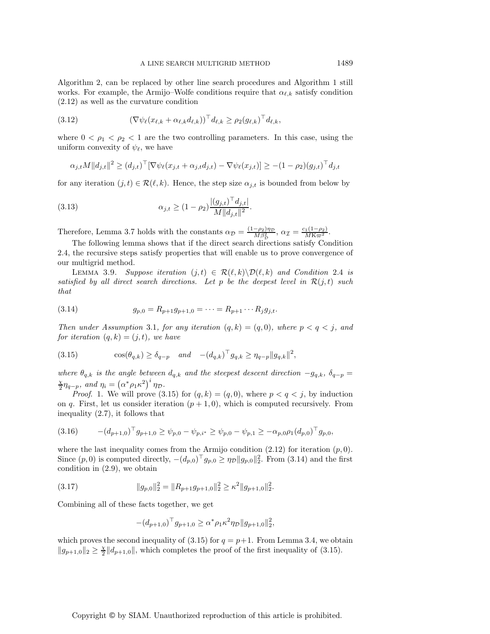Algorithm 2, can be replaced by other line search procedures and Algorithm 1 still works. For example, the Armijo–Wolfe conditions require that  $\alpha_{\ell,k}$  satisfy condition (2.12) as well as the curvature condition

$$
(3.12) \t\t (\nabla \psi_{\ell}(x_{\ell,k} + \alpha_{\ell,k} d_{\ell,k}))^{\top} d_{\ell,k} \geq \rho_2(g_{\ell,k})^{\top} d_{\ell,k},
$$

where  $0 < \rho_1 < \rho_2 < 1$  are the two controlling parameters. In this case, using the uniform convexity of  $\psi_{\ell}$ , we have

$$
\alpha_{j,t} M ||d_{j,t}||^2 \ge (d_{j,t})^\top [\nabla \psi_\ell(x_{j,t} + \alpha_{j,t} d_{j,t}) - \nabla \psi_\ell(x_{j,t})] \ge -(1 - \rho_2)(g_{j,t})^\top d_{j,t}
$$

for any iteration  $(j, t) \in \mathcal{R}(\ell, k)$ . Hence, the step size  $\alpha_{j,t}$  is bounded from below by

(3.13) 
$$
\alpha_{j,t} \ge (1 - \rho_2) \frac{|(g_{j,t})^\top d_{j,t}|}{M ||d_{j,t}||^2}.
$$

Therefore, Lemma 3.7 holds with the constants  $\alpha_{\mathcal{D}} = \frac{(1-\rho_2)\eta_{\mathcal{D}}}{M\beta_{\mathcal{D}}^2}$ ,  $\alpha_{\mathcal{I}} = \frac{c_1(1-\rho_2)}{M\kappa_{\mathcal{D}}^2}$ .

The following lemma shows that if the direct search directions satisfy Condition 2.4, the recursive steps satisfy properties that will enable us to prove convergence of our multigrid method.

LEMMA 3.9. Suppose iteration  $(j, t) \in \mathcal{R}(\ell, k) \backslash \mathcal{D}(\ell, k)$  and Condition 2.4 is *satisfied by all direct search directions. Let* p *be the deepest level in*  $\mathcal{R}(j,t)$  *such that*

(3.14) 
$$
g_{p,0} = R_{p+1}g_{p+1,0} = \cdots = R_{p+1}\cdots R_j g_{j,t}.
$$

*Then under Assumption* 3.1*, for any iteration*  $(q, k) = (q, 0)$ *, where*  $p < q < j$ *, and for iteration*  $(q, k) = (j, t)$ *, we have* 

(3.15) 
$$
\cos(\theta_{q,k}) \ge \delta_{q-p} \quad and \quad -(d_{q,k})^{\top} g_{q,k} \ge \eta_{q-p} ||g_{q,k}||^2,
$$

*where*  $\theta_{q,k}$  *is the angle between*  $d_{q,k}$  *and the steepest descent direction*  $-g_{q,k}$ ,  $\delta_{q-p}$  =  $\frac{\chi}{2} \eta_{q-p}$ , and  $\eta_i = (\alpha^* \rho_1 \kappa^2)^i \eta_{\mathcal{D}}$ .

*Proof.* 1. We will prove (3.15) for  $(q, k) = (q, 0)$ , where  $p < q < j$ , by induction on q. First, let us consider iteration  $(p + 1, 0)$ , which is computed recursively. From inequality (2.7), it follows that

$$
(3.16) \qquad -(d_{p+1,0})^{\top} g_{p+1,0} \ge \psi_{p,0} - \psi_{p,i^*} \ge \psi_{p,0} - \psi_{p,1} \ge -\alpha_{p,0} \rho_1 (d_{p,0})^{\top} g_{p,0},
$$

where the last inequality comes from the Armijo condition  $(2.12)$  for iteration  $(p, 0)$ . Since  $(p, 0)$  is computed directly,  $-(d_{p,0})^{\top} g_{p,0} \ge \eta_{\mathcal{D}} ||g_{p,0}||_2^2$ . From (3.14) and the first condition in (2.9), we obtain

(3.17) 
$$
||g_{p,0}||_2^2 = ||R_{p+1}g_{p+1,0}||_2^2 \ge \kappa^2 ||g_{p+1,0}||_2^2.
$$

Combining all of these facts together, we get

$$
-(d_{p+1,0})^{\top} g_{p+1,0} \ge \alpha^* \rho_1 \kappa^2 \eta_{\mathcal{D}} \|g_{p+1,0}\|_2^2,
$$

which proves the second inequality of  $(3.15)$  for  $q = p+1$ . From Lemma 3.4, we obtain  $||g_{p+1,0}||_2 \geq \frac{\chi}{2} ||d_{p+1,0}||$ , which completes the proof of the first inequality of (3.15).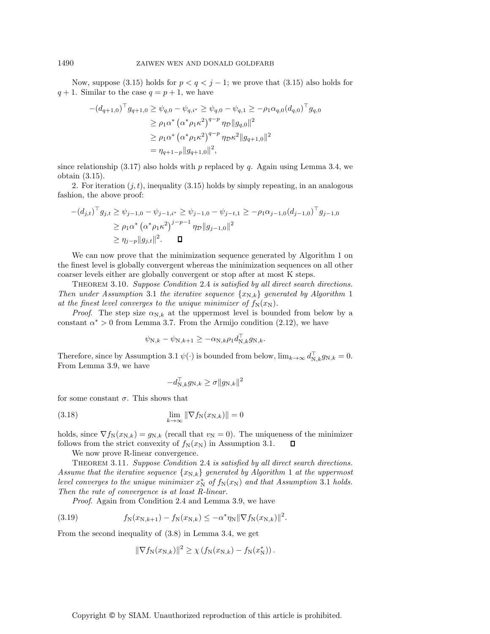Now, suppose (3.15) holds for  $p < q < j - 1$ ; we prove that (3.15) also holds for  $q + 1$ . Similar to the case  $q = p + 1$ , we have

$$
-(d_{q+1,0})^{\top} g_{q+1,0} \geq \psi_{q,0} - \psi_{q,i^{*}} \geq \psi_{q,0} - \psi_{q,1} \geq -\rho_1 \alpha_{q,0} (d_{q,0})^{\top} g_{q,0}
$$
  
\n
$$
\geq \rho_1 \alpha^{*} (\alpha^{*} \rho_1 \kappa^2)^{q-p} \eta_{\mathcal{D}} ||g_{q,0}||^{2}
$$
  
\n
$$
\geq \rho_1 \alpha^{*} (\alpha^{*} \rho_1 \kappa^2)^{q-p} \eta_{\mathcal{D}} \kappa^2 ||g_{q+1,0}||^{2}
$$
  
\n
$$
= \eta_{q+1-p} ||g_{q+1,0}||^{2},
$$

since relationship  $(3.17)$  also holds with p replaced by q. Again using Lemma 3.4, we obtain (3.15).

2. For iteration  $(j, t)$ , inequality (3.15) holds by simply repeating, in an analogous fashion, the above proof:

$$
-(d_{j,t})^{\top} g_{j,t} \geq \psi_{j-1,0} - \psi_{j-1,i^*} \geq \psi_{j-1,0} - \psi_{j-t,1} \geq -\rho_1 \alpha_{j-1,0} (d_{j-1,0})^{\top} g_{j-1,0}
$$
  
\n
$$
\geq \rho_1 \alpha^* (\alpha^* \rho_1 \kappa^2)^{j-p-1} \eta_{\mathcal{D}} ||g_{j-1,0}||^2
$$
  
\n
$$
\geq \eta_{j-p} ||g_{j,t}||^2. \qquad \Box
$$

We can now prove that the minimization sequence generated by Algorithm 1 on the finest level is globally convergent whereas the minimization sequences on all other coarser levels either are globally convergent or stop after at most K steps.

Theorem 3.10. *Suppose Condition* 2.4 *is satisfied by all direct search directions. Then under Assumption* 3.1 *the iterative sequence*  $\{x_{N,k}\}\$  *generated by Algorithm* 1 *at the finest level converges to the unique minimizer of*  $f_N(x_N)$ .

*Proof.* The step size  $\alpha_{N,k}$  at the uppermost level is bounded from below by a constant  $\alpha^* > 0$  from Lemma 3.7. From the Armijo condition (2.12), we have

$$
\psi_{\mathrm{N},k} - \psi_{\mathrm{N},k+1} \ge -\alpha_{\mathrm{N},k}\rho_1 d_{\mathrm{N},k}^{\top} g_{\mathrm{N},k}.
$$

Therefore, since by Assumption 3.1  $\psi(\cdot)$  is bounded from below,  $\lim_{k\to\infty} d_{N,k}^{\perp} g_{N,k} = 0$ . From Lemma 3.9, we have

$$
-d_{\mathrm{N},k}^{\top}g_{\mathrm{N},k}\geq\sigma\|g_{\mathrm{N},k}\|^{2}
$$

for some constant  $\sigma$ . This shows that

(3.18) 
$$
\lim_{k \to \infty} \|\nabla f_{\mathcal{N}}(x_{\mathcal{N},k})\| = 0
$$

holds, since  $\nabla f_N(x_{N,k}) = g_{N,k}$  (recall that  $v_N = 0$ ). The uniqueness of the minimizer follows from the strict convexity of  $f_N(x_N)$  in Assumption 3.1. О

We now prove R-linear convergence.

Theorem 3.11. *Suppose Condition* 2.4 *is satisfied by all direct search directions. Assume that the iterative sequence*  $\{x_{N,k}\}$  *generated by Algorithm* 1 *at the uppermost level converges to the unique minimizer*  $x_N^*$  *of*  $f_N(x_N)$  *and that Assumption* 3.1 *holds. Then the rate of convergence is at least R-linear.*

*Proof*. Again from Condition 2.4 and Lemma 3.9, we have

(3.19) 
$$
f_{N}(x_{N,k+1}) - f_{N}(x_{N,k}) \leq -\alpha^{*} \eta_{N} || \nabla f_{N}(x_{N,k}) ||^{2}.
$$

From the second inequality of (3.8) in Lemma 3.4, we get

$$
\|\nabla f_{N}(x_{N,k})\|^{2} \geq \chi(f_{N}(x_{N,k}) - f_{N}(x_{N}^{*})).
$$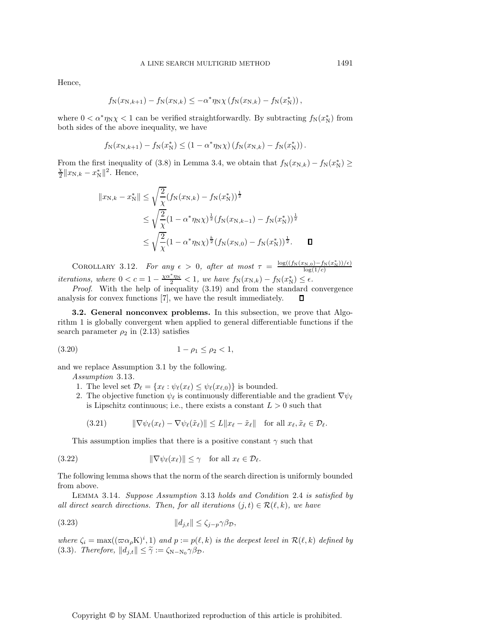Hence,

$$
f_N(x_{N,k+1}) - f_N(x_{N,k}) \le -\alpha^* \eta_N \chi (f_N(x_{N,k}) - f_N(x_N^*))
$$
,

where  $0 < \alpha^* \eta_N \chi < 1$  can be verified straightforwardly. By subtracting  $f_N(x_N^*)$  from both sides of the above inequality, we have

$$
f_N(x_{N,k+1}) - f_N(x_N^*) \leq (1 - \alpha^* \eta_N \chi) (f_N(x_{N,k}) - f_N(x_N^*))
$$
.

From the first inequality of (3.8) in Lemma 3.4, we obtain that  $f_N(x_{N,k}) - f_N(x_N^*) \ge \frac{\chi \parallel_{x_{N,k}}}{\chi}$  $\frac{X}{2}||x_{N,k} - x_N^*||^2$ . Hence,

$$
||x_{N,k} - x_N^*|| \le \sqrt{\frac{2}{\chi}} (f_N(x_{N,k}) - f_N(x_N^*))^{\frac{1}{2}}
$$
  
\n
$$
\le \sqrt{\frac{2}{\chi}} (1 - \alpha^* \eta_N \chi)^{\frac{1}{2}} (f_N(x_{N,k-1}) - f_N(x_N^*))^{\frac{1}{2}}
$$
  
\n
$$
\le \sqrt{\frac{2}{\chi}} (1 - \alpha^* \eta_N \chi)^{\frac{k}{2}} (f_N(x_{N,0}) - f_N(x_N^*))^{\frac{1}{2}}.
$$

COROLLARY 3.12. *For any*  $\epsilon > 0$ , *after at most*  $\tau = \frac{\log((f_N(x_{N,0}) - f_N(x_N^*))/\epsilon)}{\log(1/c)}$ *iterations, where*  $0 < c = 1 - \frac{\chi \alpha^* \eta_N}{2} < 1$ *, we have*  $f_N(x_{N,k}) - f_N(x_N^*) \le \epsilon$ *.* 

*Proof*. With the help of inequality (3.19) and from the standard convergence analysis for convex functions [7], we have the result immediately.

**3.2. General nonconvex problems.** In this subsection, we prove that Algorithm 1 is globally convergent when applied to general differentiable functions if the search parameter  $\rho_2$  in (2.13) satisfies

$$
(3.20) \t\t\t 1 - \rho_1 \le \rho_2 < 1,
$$

and we replace Assumption 3.1 by the following.

*Assumption* 3.13.

- 1. The level set  $\mathcal{D}_{\ell} = \{x_{\ell} : \psi_{\ell}(x_{\ell}) \leq \psi_{\ell}(x_{\ell,0})\}$  is bounded.
- 2. The objective function  $\psi_{\ell}$  is continuously differentiable and the gradient  $\nabla \psi_{\ell}$ is Lipschitz continuous; i.e., there exists a constant  $L > 0$  such that

$$
(3.21) \t\t \|\nabla \psi_{\ell}(x_{\ell}) - \nabla \psi_{\ell}(\tilde{x}_{\ell})\| \le L \|x_{\ell} - \tilde{x}_{\ell}\| \t\text{ for all } x_{\ell}, \tilde{x}_{\ell} \in \mathcal{D}_{\ell}.
$$

This assumption implies that there is a positive constant  $\gamma$  such that

(3.22) 
$$
\|\nabla \psi_{\ell}(x_{\ell})\| \leq \gamma \quad \text{for all } x_{\ell} \in \mathcal{D}_{\ell}.
$$

The following lemma shows that the norm of the search direction is uniformly bounded from above.

Lemma 3.14. *Suppose Assumption* 3.13 *holds and Condition* 2.4 *is satisfied by all direct search directions. Then, for all iterations*  $(j,t) \in \mathcal{R}(\ell, k)$ *, we have* 

$$
||d_{j,t}|| \le \zeta_{j-p} \gamma \beta_{\mathcal{D}},
$$

where  $\zeta_i = \max((\varpi \alpha_{\rho} K)^i, 1)$  and  $p := p(\ell, k)$  is the deepest level in  $\mathcal{R}(\ell, k)$  defined by (3.3)*. Therefore,*  $||d_{j,t}|| \leq \tilde{\gamma} := \zeta_{N-N_0} \gamma \beta_{\mathcal{D}}$ *.*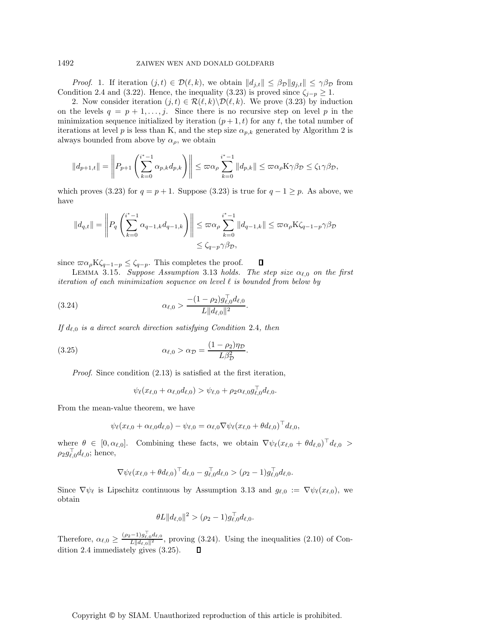*Proof.* 1. If iteration  $(j, t) \in \mathcal{D}(\ell, k)$ , we obtain  $||d_{j,t}|| \leq \beta_{\mathcal{D}} ||g_{j,t}|| \leq \gamma \beta_{\mathcal{D}}$  from Condition 2.4 and (3.22). Hence, the inequality (3.23) is proved since  $\zeta_{j-p} \geq 1$ .

2. Now consider iteration  $(j, t) \in \mathcal{R}(\ell, k) \backslash \mathcal{D}(\ell, k)$ . We prove (3.23) by induction on the levels  $q = p + 1, \ldots, j$ . Since there is no recursive step on level p in the minimization sequence initialized by iteration  $(p+1, t)$  for any t, the total number of iterations at level p is less than K, and the step size  $\alpha_{p,k}$  generated by Algorithm 2 is always bounded from above by  $\alpha_{\rho}$ , we obtain

$$
||d_{p+1,t}|| = \left\| P_{p+1} \left( \sum_{k=0}^{i^*-1} \alpha_{p,k} d_{p,k} \right) \right\| \leq \varpi \alpha_p \sum_{k=0}^{i^*-1} ||d_{p,k}|| \leq \varpi \alpha_p K \gamma \beta_{\mathcal{D}} \leq \zeta_1 \gamma \beta_{\mathcal{D}},
$$

which proves (3.23) for  $q = p + 1$ . Suppose (3.23) is true for  $q - 1 \geq p$ . As above, we have

$$
||d_{q,t}|| = \left\| P_q \left( \sum_{k=0}^{i^*-1} \alpha_{q-1,k} d_{q-1,k} \right) \right\| \leq \varpi \alpha_p \sum_{k=0}^{i^*-1} ||d_{q-1,k}|| \leq \varpi \alpha_p K \zeta_{q-1-p} \gamma \beta_{\mathcal{D}} \leq \zeta_{q-p} \gamma \beta_{\mathcal{D}},
$$

since  $\varpi \alpha_{\rho} K \zeta_{q-1-p} \leq \zeta_{q-p}$ . This completes the proof.

LEMMA 3.15. *Suppose Assumption* 3.13 *holds. The step size*  $\alpha_{\ell,0}$  *on the first*  $iteration$  *sequence on level*  $\ell$  *is bounded from below by* 

 $\Box$ 

(3.24) 
$$
\alpha_{\ell,0} > \frac{-(1-\rho_2)g_{\ell,0}^{\top}d_{\ell,0}}{L||d_{\ell,0}||^2}.
$$

If  $d_{\ell,0}$  *is a direct search direction satisfying Condition* 2.4*, then* 

(3.25) 
$$
\alpha_{\ell,0} > \alpha_{\mathcal{D}} = \frac{(1 - \rho_2)\eta_{\mathcal{D}}}{L\beta_{\mathcal{D}}^2}.
$$

*Proof.* Since condition  $(2.13)$  is satisfied at the first iteration,

$$
\psi_{\ell}(x_{\ell,0}+\alpha_{\ell,0}d_{\ell,0}) > \psi_{\ell,0} + \rho_2 \alpha_{\ell,0} g_{\ell,0}^{\perp} d_{\ell,0}.
$$

From the mean-value theorem, we have

$$
\psi_{\ell}(x_{\ell,0} + \alpha_{\ell,0}d_{\ell,0}) - \psi_{\ell,0} = \alpha_{\ell,0} \nabla \psi_{\ell}(x_{\ell,0} + \theta d_{\ell,0})^{\top} d_{\ell,0},
$$

where  $\theta \in [0, \alpha_{\ell,0}]$ . Combining these facts, we obtain  $\nabla \psi_{\ell}(x_{\ell,0} + \theta d_{\ell,0})^{\dagger} d_{\ell,0} >$  $\rho_2 g_{\ell,0}^{\perp} d_{\ell,0}$ ; hence,

$$
\nabla \psi_{\ell} (x_{\ell,0} + \theta d_{\ell,0})^{\top} d_{\ell,0} - g_{\ell,0}^{\top} d_{\ell,0} > (\rho_2 - 1) g_{\ell,0}^{\top} d_{\ell,0}.
$$

Since  $\nabla \psi_{\ell}$  is Lipschitz continuous by Assumption 3.13 and  $g_{\ell,0} := \nabla \psi_{\ell}(x_{\ell,0}),$  we obtain

$$
\theta L \|d_{\ell,0}\|^2 > (\rho_2 - 1)g_{\ell,0}^{\top} d_{\ell,0}.
$$

Therefore,  $\alpha_{\ell,0} \geq \frac{(\rho_2 - 1)g_{\ell,0}l_{\ell,0}}{L||d_{\ell,0}||^2}$ , proving (3.24). Using the inequalities (2.10) of Condition 2.4 immediately gives (3.25).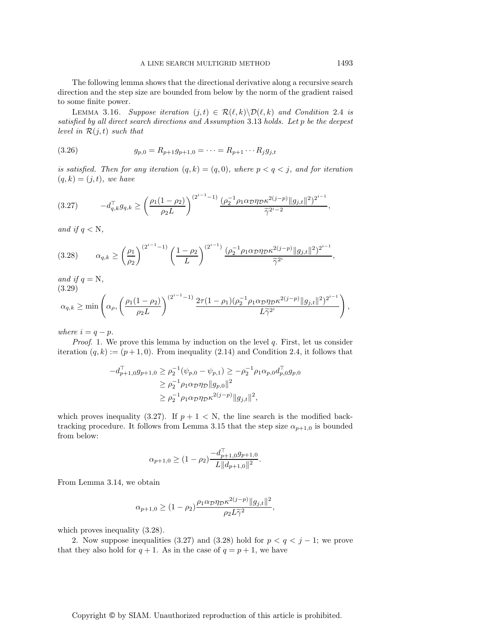The following lemma shows that the directional derivative along a recursive search direction and the step size are bounded from below by the norm of the gradient raised to some finite power.

LEMMA 3.16. Suppose iteration  $(j,t) \in \mathcal{R}(\ell,k) \backslash \mathcal{D}(\ell,k)$  and Condition 2.4 is *satisfied by all direct search directions and Assumption* 3.13 *holds. Let* p *be the deepest level in*  $\mathcal{R}(j,t)$  *such that* 

(3.26) 
$$
g_{p,0} = R_{p+1}g_{p+1,0} = \cdots = R_{p+1}\cdots R_j g_{j,t}
$$

*is satisfied. Then for any iteration*  $(q, k) = (q, 0)$ *, where*  $p < q < j$ *, and for iteration*  $(q, k) = (j, t)$ *, we have* 

$$
(3.27) \t -d_{q,k}^{\top}g_{q,k} \geq \left(\frac{\rho_1(1-\rho_2)}{\rho_2 L}\right)^{(2^{i-1}-1)} \frac{(\rho_2^{-1}\rho_1\alpha_{\mathcal{D}}\eta_{\mathcal{D}}\kappa^{2(j-p)}\|g_{j,t}\|^2)^{2^{i-1}}}{\widetilde{\gamma}^{2^i-2}},
$$

*and if*  $q < N$ *,* 

$$
(3.28) \qquad \alpha_{q,k} \ge \left(\frac{\rho_1}{\rho_2}\right)^{(2^{i-1}-1)} \left(\frac{1-\rho_2}{L}\right)^{(2^{i-1})} \frac{(\rho_2^{-1}\rho_1\alpha_{\mathcal{D}}\eta_{\mathcal{D}}\kappa^{2(j-p)}\|g_{j,t}\|^2)^{2^{i-1}}}{\widetilde{\gamma}^{2^i}},
$$

*and if*  $q = N$ *,* (3.29)

$$
\alpha_{q,k} \geq \min\left(\alpha_{\rho}, \left(\frac{\rho_1(1-\rho_2)}{\rho_2 L}\right)^{(2^{i-1}-1)} \frac{2\tau(1-\rho_1)(\rho_2^{-1}\rho_1\alpha_{\mathcal{D}}\eta_{\mathcal{D}}\kappa^{2(j-p)}\|g_{j,t}\|^2)^{2^{i-1}}}{L\widetilde{\gamma}^{2^i}}\right),
$$

*where*  $i = q - p$ *.* 

*Proof.* 1. We prove this lemma by induction on the level q. First, let us consider iteration  $(q, k) := (p + 1, 0)$ . From inequality  $(2.14)$  and Condition 2.4, it follows that

$$
-d_{p+1,0}^{\top}g_{p+1,0} \ge \rho_2^{-1}(\psi_{p,0} - \psi_{p,1}) \ge -\rho_2^{-1}\rho_1\alpha_{p,0}d_{p,0}^{\top}g_{p,0}
$$
  
\n
$$
\ge \rho_2^{-1}\rho_1\alpha_{\mathcal{D}}\eta_{\mathcal{D}}\|g_{p,0}\|^2
$$
  
\n
$$
\ge \rho_2^{-1}\rho_1\alpha_{\mathcal{D}}\eta_{\mathcal{D}}\kappa^{2(j-p)}\|g_{j,t}\|^2,
$$

which proves inequality (3.27). If  $p + 1 < N$ , the line search is the modified backtracking procedure. It follows from Lemma 3.15 that the step size  $\alpha_{p+1,0}$  is bounded from below:

$$
\alpha_{p+1,0} \ge (1 - \rho_2) \frac{-d_{p+1,0}^{\top} g_{p+1,0}}{L \| d_{p+1,0} \|^2}.
$$

From Lemma 3.14, we obtain

$$
\alpha_{p+1,0} \ge (1 - \rho_2) \frac{\rho_1 \alpha_{\mathcal{D}} \eta_{\mathcal{D}} \kappa^{2(j-p)} \|g_{j,t}\|^2}{\rho_2 L \tilde{\gamma}^2},
$$

which proves inequality  $(3.28)$ .

2. Now suppose inequalities (3.27) and (3.28) hold for  $p < q < j - 1$ ; we prove that they also hold for  $q + 1$ . As in the case of  $q = p + 1$ , we have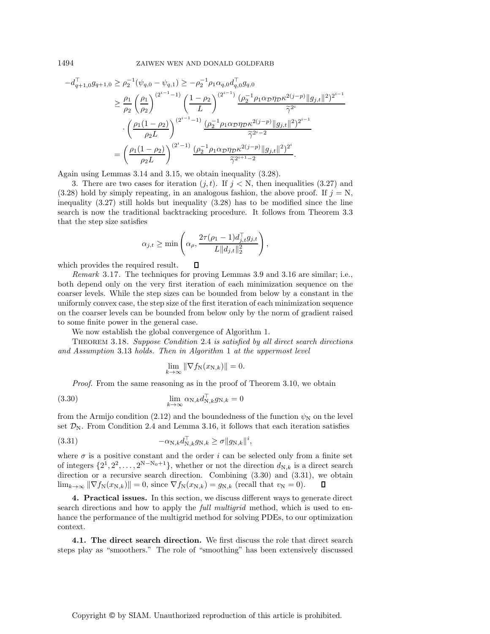$$
-d_{q+1,0}^{T}g_{q+1,0} \geq \rho_2^{-1}(\psi_{q,0} - \psi_{q,1}) \geq -\rho_2^{-1}\rho_1 \alpha_{q,0} d_{q,0}^{T}g_{q,0}
$$
  
\n
$$
\geq \frac{\rho_1}{\rho_2} \left(\frac{\rho_1}{\rho_2}\right)^{(2^{i-1}-1)} \left(\frac{1-\rho_2}{L}\right)^{(2^{i-1})} \frac{(\rho_2^{-1}\rho_1 \alpha_{\mathcal{D}} \eta_{\mathcal{D}} \kappa^{2(j-p)} \|g_{j,t}\|^2)^{2^{i-1}}}{\tilde{\gamma}^{2^{i}}}.
$$
  
\n
$$
\cdot \left(\frac{\rho_1 (1-\rho_2)}{\rho_2 L}\right)^{(2^{i-1}-1)} \frac{(\rho_2^{-1}\rho_1 \alpha_{\mathcal{D}} \eta_{\mathcal{D}} \kappa^{2(j-p)} \|g_{j,t}\|^2)^{2^{i-1}}}{\tilde{\gamma}^{2^{i-2}}}
$$
  
\n
$$
= \left(\frac{\rho_1 (1-\rho_2)}{\rho_2 L}\right)^{(2^{i}-1)} \frac{(\rho_2^{-1}\rho_1 \alpha_{\mathcal{D}} \eta_{\mathcal{D}} \kappa^{2(j-p)} \|g_{j,t}\|^2)^{2^i}}{\tilde{\gamma}^{2^{i+1}-2}}.
$$

Again using Lemmas 3.14 and 3.15, we obtain inequality (3.28).

3. There are two cases for iteration  $(j, t)$ . If  $j < N$ , then inequalities (3.27) and  $(3.28)$  hold by simply repeating, in an analogous fashion, the above proof. If  $j = N$ , inequality (3.27) still holds but inequality (3.28) has to be modified since the line search is now the traditional backtracking procedure. It follows from Theorem 3.3 that the step size satisfies

$$
\alpha_{j,t} \ge \min\left(\alpha_\rho, \frac{2\tau(\rho_1 - 1)d_{j,t}^\top g_{j,t}}{L\|d_{j,t}\|_2^2}\right),\,
$$

 $\Box$ 

which provides the required result.

*Remark* 3.17. The techniques for proving Lemmas 3.9 and 3.16 are similar; i.e., both depend only on the very first iteration of each minimization sequence on the coarser levels. While the step sizes can be bounded from below by a constant in the uniformly convex case, the step size of the first iteration of each minimization sequence on the coarser levels can be bounded from below only by the norm of gradient raised to some finite power in the general case.

We now establish the global convergence of Algorithm 1.

Theorem 3.18. *Suppose Condition* 2.4 *is satisfied by all direct search directions and Assumption* 3.13 *holds. Then in Algorithm* 1 *at the uppermost level*

$$
\lim_{k \to \infty} \|\nabla f_{\mathcal{N}}(x_{\mathcal{N},k})\| = 0.
$$

*Proof.* From the same reasoning as in the proof of Theorem 3.10, we obtain

(3.30) 
$$
\lim_{k \to \infty} \alpha_{\text{N},k} d_{\text{N},k}^{\top} g_{\text{N},k} = 0
$$

from the Armijo condition (2.12) and the boundedness of the function  $\psi_N$  on the level set  $\mathcal{D}_N$ . From Condition 2.4 and Lemma 3.16, it follows that each iteration satisfies

(3.31) 
$$
-\alpha_{N,k}d_{N,k}^{\top}g_{N,k} \geq \sigma \|g_{N,k}\|^i,
$$

where  $\sigma$  is a positive constant and the order i can be selected only from a finite set of integers  $\{2^1, 2^2, \ldots, 2^{N-N_0+1}\}$ , whether or not the direction  $d_{N,k}$  is a direct search direction or a recursive search direction. Combining (3.30) and (3.31), we obtain  $\lim_{k\to\infty} \|\nabla f_N(x_{N,k})\| = 0$ , since  $\nabla f_N(x_{N,k}) = g_{N,k}$  (recall that  $v_N = 0$ ).

**4. Practical issues.** In this section, we discuss different ways to generate direct search directions and how to apply the *full multigrid* method, which is used to enhance the performance of the multigrid method for solving PDEs, to our optimization context.

**4.1. The direct search direction.** We first discuss the role that direct search steps play as "smoothers." The role of "smoothing" has been extensively discussed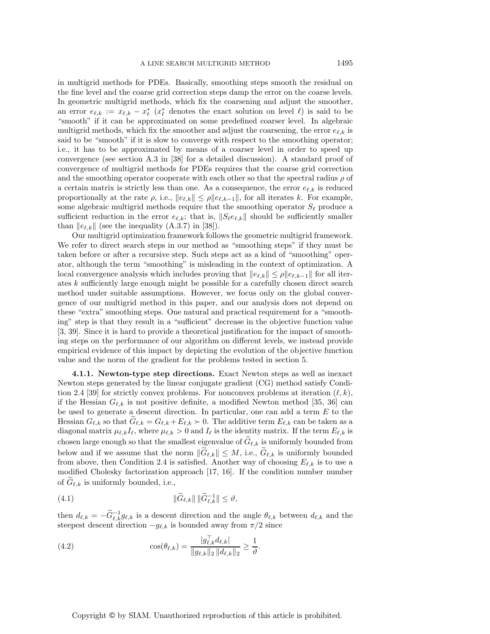in multigrid methods for PDEs. Basically, smoothing steps smooth the residual on the fine level and the coarse grid correction steps damp the error on the coarse levels. In geometric multigrid methods, which fix the coarsening and adjust the smoother, an error  $e_{\ell,k} := x_{\ell,k} - x_{\ell}^*$  ( $x_{\ell}^*$  denotes the exact solution on level  $\ell$ ) is said to be "smooth" if it can be approximated on some predefined coarser level. In algebraic multigrid methods, which fix the smoother and adjust the coarsening, the error  $e_{\ell,k}$  is said to be "smooth" if it is slow to converge with respect to the smoothing operator; i.e., it has to be approximated by means of a coarser level in order to speed up convergence (see section A.3 in [38] for a detailed discussion). A standard proof of convergence of multigrid methods for PDEs requires that the coarse grid correction and the smoothing operator cooperate with each other so that the spectral radius  $\rho$  of a certain matrix is strictly less than one. As a consequence, the error  $e_{\ell,k}$  is reduced proportionally at the rate  $\rho$ , i.e.,  $||e_{\ell,k}|| \leq \rho ||e_{\ell,k-1}||$ , for all iterates k. For example, some algebraic multigrid methods require that the smoothing operator  $S_{\ell}$  produce a sufficient reduction in the error  $e_{\ell,k}$ ; that is,  $||S_{\ell}e_{\ell,k}||$  should be sufficiently smaller than  $||e_{\ell,k}||$  (see the inequality (A.3.7) in [38]).

Our multigrid optimization framework follows the geometric multigrid framework. We refer to direct search steps in our method as "smoothing steps" if they must be taken before or after a recursive step. Such steps act as a kind of "smoothing" operator, although the term "smoothing" is misleading in the context of optimization. A local convergence analysis which includes proving that  $||e_{\ell,k}|| \le \rho ||e_{\ell,k-1}||$  for all iterates k sufficiently large enough might be possible for a carefully chosen direct search method under suitable assumptions. However, we focus only on the global convergence of our multigrid method in this paper, and our analysis does not depend on these "extra" smoothing steps. One natural and practical requirement for a "smoothing" step is that they result in a "sufficient" decrease in the objective function value [3, 39]. Since it is hard to provide a theoretical justification for the impact of smoothing steps on the performance of our algorithm on different levels, we instead provide empirical evidence of this impact by depicting the evolution of the objective function value and the norm of the gradient for the problems tested in section 5.

**4.1.1. Newton-type step directions.** Exact Newton steps as well as inexact Newton steps generated by the linear conjugate gradient (CG) method satisfy Condition 2.4 [39] for strictly convex problems. For nonconvex problems at iteration  $(\ell, k)$ , if the Hessian  $G_{\ell,k}$  is not positive definite, a modified Newton method [35, 36] can be used to generate a descent direction. In particular, one can add a term E to the Hessian  $G_{\ell,k}$  so that  $G_{\ell,k} = G_{\ell,k} + E_{\ell,k} > 0$ . The additive term  $E_{\ell,k}$  can be taken as a diagonal matrix  $\mu_{\ell,k} I_{\ell}$ , where  $\mu_{\ell,k} > 0$  and  $I_{\ell}$  is the identity matrix. If the term  $E_{\ell,k}$  is chosen large enough so that the smallest eigenvalue of  $G_{\ell,k}$  is uniformly bounded from below and if we assume that the norm  $||G_{\ell,k}|| \leq M$ , i.e.,  $G_{\ell,k}$  is uniformly bounded from above, then Condition 2.4 is satisfied. Another way of choosing  $E_{\ell,k}$  is to use a modified Cholesky factorization approach [17, 16]. If the condition number number of  $G_{\ell,k}$  is uniformly bounded, i.e.,

(4.1) 
$$
\|\widetilde{G}_{\ell,k}\| \|\widetilde{G}_{\ell,k}^{-1}\| \leq \vartheta,
$$

then  $d_{\ell,k} = -\widetilde{G}_{\ell,k}^{-1}g_{\ell,k}$  is a descent direction and the angle  $\theta_{\ell,k}$  between  $d_{\ell,k}$  and the steepest descent direction  $-g_{\ell,k}$  is bounded away from  $\pi/2$  since

(4.2) 
$$
\cos(\theta_{\ell,k}) = \frac{|g_{\ell,k}^{\perp} d_{\ell,k}|}{\|g_{\ell,k}\|_2 \, \|d_{\ell,k}\|_2} \ge \frac{1}{\vartheta}.
$$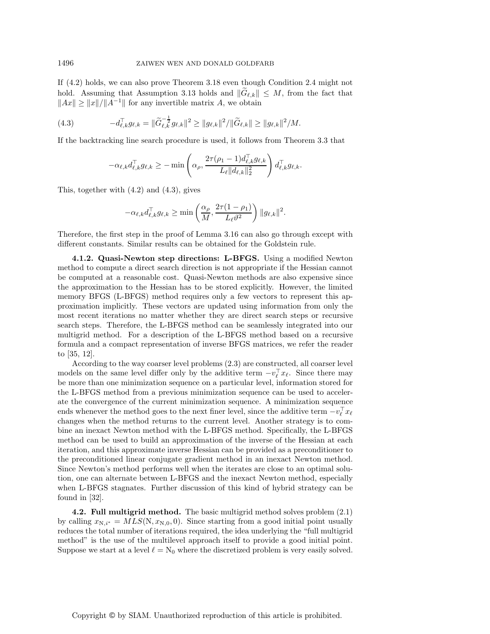If (4.2) holds, we can also prove Theorem 3.18 even though Condition 2.4 might not hold. Assuming that Assumption 3.13 holds and  $||G_{\ell,k}|| \leq M$ , from the fact that  $||Ax|| \ge ||x||/||A^{-1}||$  for any invertible matrix A, we obtain

(4.3) 
$$
-d_{\ell,k}^{\top}g_{\ell,k} = \|\widetilde{G}_{\ell,k}^{-\frac{1}{2}}g_{\ell,k}\|^2 \geq \|g_{\ell,k}\|^2 / \|\widetilde{G}_{\ell,k}\| \geq \|g_{\ell,k}\|^2 / M.
$$

If the backtracking line search procedure is used, it follows from Theorem 3.3 that

$$
-\alpha_{\ell,k}d_{\ell,k}^{\top}g_{\ell,k} \geq -\min\left(\alpha_{\rho},\frac{2\tau(\rho_1-1)d_{\ell,k}^{\top}g_{\ell,k}}{L_{\ell}||d_{\ell,k}||_2^2}\right)d_{\ell,k}^{\top}g_{\ell,k}.
$$

This, together with (4.2) and (4.3), gives

$$
-\alpha_{\ell,k}d_{\ell,k}^{\top}g_{\ell,k} \geq \min\left(\frac{\alpha_{\rho}}{M}, \frac{2\tau(1-\rho_1)}{L_{\ell}\vartheta^2}\right) \|g_{\ell,k}\|^2.
$$

Therefore, the first step in the proof of Lemma 3.16 can also go through except with different constants. Similar results can be obtained for the Goldstein rule.

**4.1.2. Quasi-Newton step directions: L-BFGS.** Using a modified Newton method to compute a direct search direction is not appropriate if the Hessian cannot be computed at a reasonable cost. Quasi-Newton methods are also expensive since the approximation to the Hessian has to be stored explicitly. However, the limited memory BFGS (L-BFGS) method requires only a few vectors to represent this approximation implicitly. These vectors are updated using information from only the most recent iterations no matter whether they are direct search steps or recursive search steps. Therefore, the L-BFGS method can be seamlessly integrated into our multigrid method. For a description of the L-BFGS method based on a recursive formula and a compact representation of inverse BFGS matrices, we refer the reader to [35, 12].

According to the way coarser level problems (2.3) are constructed, all coarser level models on the same level differ only by the additive term  $-v_{\ell}^{\perp} x_{\ell}$ . Since there may be more than one minimization sequence on a particular level, information stored for the L-BFGS method from a previous minimization sequence can be used to accelerate the convergence of the current minimization sequence. A minimization sequence ends whenever the method goes to the next finer level, since the additive term  $-v_{\ell}^{\perp} x_{\ell}$ changes when the method returns to the current level. Another strategy is to combine an inexact Newton method with the L-BFGS method. Specifically, the L-BFGS method can be used to build an approximation of the inverse of the Hessian at each iteration, and this approximate inverse Hessian can be provided as a preconditioner to the preconditioned linear conjugate gradient method in an inexact Newton method. Since Newton's method performs well when the iterates are close to an optimal solution, one can alternate between L-BFGS and the inexact Newton method, especially when L-BFGS stagnates. Further discussion of this kind of hybrid strategy can be found in [32].

**4.2. Full multigrid method.** The basic multigrid method solves problem (2.1) by calling  $x_{\text{N},i^*} = MLS(\text{N}, x_{\text{N},0}, 0)$ . Since starting from a good initial point usually reduces the total number of iterations required, the idea underlying the "full multigrid method" is the use of the multilevel approach itself to provide a good initial point. Suppose we start at a level  $\ell = N_0$  where the discretized problem is very easily solved.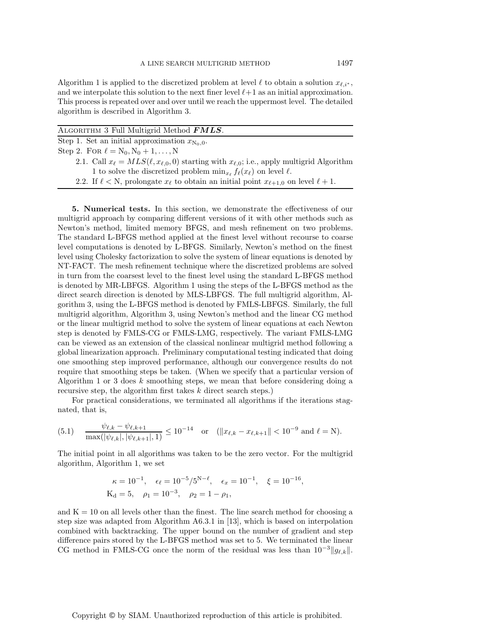Algorithm 1 is applied to the discretized problem at level  $\ell$  to obtain a solution  $x_{\ell,i^*}$ , and we interpolate this solution to the next finer level  $\ell+1$  as an initial approximation. This process is repeated over and over until we reach the uppermost level. The detailed algorithm is described in Algorithm 3.

| ALGORITHM 3 Full Multigrid Method <b>FMLS</b> .                                                                                                                                                                                                                                           |
|-------------------------------------------------------------------------------------------------------------------------------------------------------------------------------------------------------------------------------------------------------------------------------------------|
| Step 1. Set an initial approximation $x_{N_0,0}$ .                                                                                                                                                                                                                                        |
| Step 2. For $\ell = N_0, N_0 + 1, , N$                                                                                                                                                                                                                                                    |
| 2.1. Call $x_{\ell} = MLS(\ell, x_{\ell,0}, 0)$ starting with $x_{\ell,0}$ ; i.e., apply multigrid Algorithm                                                                                                                                                                              |
| 1 to solve the discretized problem $\min_{x_{\ell}} f_{\ell}(x_{\ell})$ on level $\ell$ .                                                                                                                                                                                                 |
| $\alpha \alpha$ if $\beta$ is a set of $\alpha$ is a set of $\alpha$ is a set of $\alpha$ is a set of $\alpha$ is a set of $\alpha$ is a set of $\alpha$ is a set of $\alpha$ is a set of $\alpha$ is a set of $\alpha$ is a set of $\alpha$ is a set of $\alpha$ is a set of $\alpha$ is |

2.2. If  $\ell < N$ , prolongate  $x_{\ell}$  to obtain an initial point  $x_{\ell+1,0}$  on level  $\ell+1$ .

**5. Numerical tests.** In this section, we demonstrate the effectiveness of our multigrid approach by comparing different versions of it with other methods such as Newton's method, limited memory BFGS, and mesh refinement on two problems. The standard L-BFGS method applied at the finest level without recourse to coarse level computations is denoted by L-BFGS. Similarly, Newton's method on the finest level using Cholesky factorization to solve the system of linear equations is denoted by NT-FACT. The mesh refinement technique where the discretized problems are solved in turn from the coarsest level to the finest level using the standard L-BFGS method is denoted by MR-LBFGS. Algorithm 1 using the steps of the L-BFGS method as the direct search direction is denoted by MLS-LBFGS. The full multigrid algorithm, Algorithm 3, using the L-BFGS method is denoted by FMLS-LBFGS. Similarly, the full multigrid algorithm, Algorithm 3, using Newton's method and the linear CG method or the linear multigrid method to solve the system of linear equations at each Newton step is denoted by FMLS-CG or FMLS-LMG, respectively. The variant FMLS-LMG can be viewed as an extension of the classical nonlinear multigrid method following a global linearization approach. Preliminary computational testing indicated that doing one smoothing step improved performance, although our convergence results do not require that smoothing steps be taken. (When we specify that a particular version of Algorithm 1 or 3 does  $k$  smoothing steps, we mean that before considering doing a recursive step, the algorithm first takes k direct search steps.)

For practical considerations, we terminated all algorithms if the iterations stagnated, that is,

(5.1) 
$$
\frac{\psi_{\ell,k} - \psi_{\ell,k+1}}{\max(|\psi_{\ell,k}|, |\psi_{\ell,k+1}|, 1)} \le 10^{-14} \text{ or } (||x_{\ell,k} - x_{\ell,k+1}|| < 10^{-9} \text{ and } \ell = \text{N}).
$$

The initial point in all algorithms was taken to be the zero vector. For the multigrid algorithm, Algorithm 1, we set

$$
\kappa = 10^{-1}
$$
,  $\epsilon_{\ell} = 10^{-5}/5^{N-\ell}$ ,  $\epsilon_x = 10^{-1}$ ,  $\xi = 10^{-16}$ ,  
\n $K_d = 5$ ,  $\rho_1 = 10^{-3}$ ,  $\rho_2 = 1 - \rho_1$ ,

and  $K = 10$  on all levels other than the finest. The line search method for choosing a step size was adapted from Algorithm A6.3.1 in [13], which is based on interpolation combined with backtracking. The upper bound on the number of gradient and step difference pairs stored by the L-BFGS method was set to 5. We terminated the linear CG method in FMLS-CG once the norm of the residual was less than  $10^{-3}||g_{\ell,k}||$ .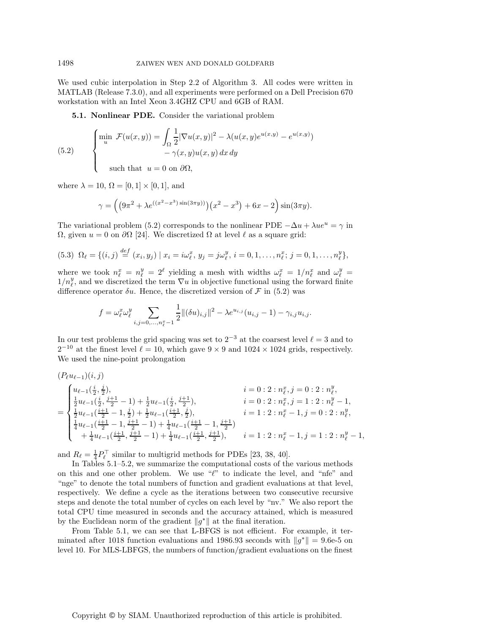We used cubic interpolation in Step 2.2 of Algorithm 3. All codes were written in MATLAB (Release 7.3.0), and all experiments were performed on a Dell Precision 670 workstation with an Intel Xeon 3.4GHZ CPU and 6GB of RAM.

**5.1. Nonlinear PDE.** Consider the variational problem

(5.2) 
$$
\begin{cases} \min_{u} \mathcal{F}(u(x,y)) = \int_{\Omega} \frac{1}{2} |\nabla u(x,y)|^2 - \lambda (u(x,y)e^{u(x,y)} - e^{u(x,y)}) \\ -\gamma(x,y)u(x,y) dx dy \end{cases}
$$

such that  $u = 0$  on  $\partial\Omega$ ,

where  $\lambda = 10$ ,  $\Omega = [0, 1] \times [0, 1]$ , and

⎪⎪⎪⎩

$$
\gamma = \left( \left( 9\pi^2 + \lambda e^{((x^2 - x^3)\sin(3\pi y))} \right) \left( x^2 - x^3 \right) + 6x - 2 \right) \sin(3\pi y).
$$

The variational problem (5.2) corresponds to the nonlinear PDE  $-\Delta u + \lambda u e^u = \gamma$  in  $\Omega$ , given  $u = 0$  on  $\partial\Omega$  [24]. We discretized  $\Omega$  at level  $\ell$  as a square grid:

$$
(5.3) \ \Omega_{\ell} = \{(i,j) \stackrel{def}{=} (x_i, y_j) \mid x_i = i\omega_{\ell}^x, \ y_j = j\omega_{\ell}^y, \ i = 0, 1, \dots, n_{\ell}^x; \ j = 0, 1, \dots, n_{\ell}^y\},
$$

where we took  $n_{\ell}^x = n_{\ell}^y = 2^{\ell}$  yielding a mesh with widths  $\omega_{\ell}^x = 1/n_{\ell}^x$  and  $\omega_{\ell}^y =$  $1/n_{\ell}^y$ , and we discretized the term  $\nabla u$  in objective functional using the forward finite difference operator  $\delta u$ . Hence, the discretized version of F in (5.2) was

$$
f = \omega_{\ell}^{x} \omega_{\ell}^{y} \sum_{i,j=0,...,n_{\ell}^{x}-1} \frac{1}{2} ||(\delta u)_{i,j}||^{2} - \lambda e^{u_{i,j}} (u_{i,j}-1) - \gamma_{i,j} u_{i,j}.
$$

In our test problems the grid spacing was set to  $2^{-3}$  at the coarsest level  $\ell = 3$  and to  $2^{-10}$  at the finest level  $\ell = 10$ , which gave  $9 \times 9$  and  $1024 \times 1024$  grids, respectively. We used the nine-point prolongation

$$
\begin{array}{ll} (P_\ell u_{\ell-1})(i,j) & i=0:2: n_\ell^x, j=0:2: n_\ell^y,\\ \frac{1}{2}u_{\ell-1}(\frac{i}{2},\frac{j+1}{2}-1)+\frac{1}{2}u_{\ell-1}(\frac{i}{2},\frac{j+1}{2}), & i=0:2: n_\ell^x, j=1:2: n_\ell^y-1,\\ \frac{1}{2}u_{\ell-1}(\frac{i+1}{2}-1,\frac{j}{2})+\frac{1}{2}u_{\ell-1}(\frac{i+1}{2},\frac{j}{2}), & i=1:2: n_\ell^x-1, j=0:2: n_\ell^y,\\ \frac{1}{4}u_{\ell-1}(\frac{i+1}{2}-1,\frac{j+1}{2}-1)+\frac{1}{4}u_{\ell-1}(\frac{i+1}{2},\frac{j+1}{2}), & i=1:2: n_\ell^x-1, j=1:2: n_\ell^y-1,\\ +\frac{1}{4}u_{\ell-1}(\frac{i+1}{2},\frac{j+1}{2}-1)+\frac{1}{4}u_{\ell-1}(\frac{i+1}{2},\frac{j+1}{2}), & i=1:2: n_\ell^x-1, j=1:2: n_\ell^y-1, \end{array}
$$

and  $R_{\ell} = \frac{1}{4} P_{\ell}^{\top}$  similar to multigrid methods for PDEs [23, 38, 40].

In Tables 5.1–5.2, we summarize the computational costs of the various methods on this and one other problem. We use  $\ell$ " to indicate the level, and "nfe" and "nge" to denote the total numbers of function and gradient evaluations at that level, respectively. We define a cycle as the iterations between two consecutive recursive steps and denote the total number of cycles on each level by "nv." We also report the total CPU time measured in seconds and the accuracy attained, which is measured by the Euclidean norm of the gradient  $||g^*||$  at the final iteration.

From Table 5.1, we can see that L-BFGS is not efficient. For example, it terminated after 1018 function evaluations and 1986.93 seconds with  $||g^*|| = 9.6e^{-5}$  on level 10. For MLS-LBFGS, the numbers of function/gradient evaluations on the finest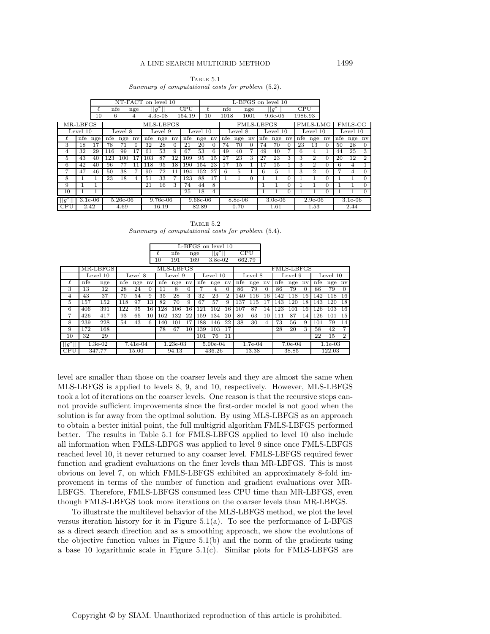#### Table 5.1

Summary of computational costs for problem (5.2).

|                |              |     |            |                          |           | NT-FACT on level 10 |           |          |            |          | L-BFGS on level 10            |           |         |          |           |            |          |           |                          |          |           |          |                |
|----------------|--------------|-----|------------|--------------------------|-----------|---------------------|-----------|----------|------------|----------|-------------------------------|-----------|---------|----------|-----------|------------|----------|-----------|--------------------------|----------|-----------|----------|----------------|
|                |              |     | nfe<br>nge |                          |           | $\sqrt{g^*}$        |           |          | CPU        |          |                               | nfe       |         | nge      |           | $ g^*$     |          | CPU       |                          |          |           |          |                |
|                |              | 10  | 6          |                          | 4         |                     | $4.3e-08$ |          | 154.19     |          | 10                            | 1018      |         | 1001     |           | $9.6e-0.5$ |          | 1986.93   |                          |          |           |          |                |
| MR-LBFGS       |              |     |            |                          | MLS-LBFGS |                     |           |          |            |          | FMLS-LMG<br><b>FMLS-LBFGS</b> |           |         |          |           |            |          |           |                          |          | FMLS-CG   |          |                |
| Level 10       |              |     | Level 8    |                          |           | Level 9             |           |          |            | Level 10 |                               |           | Level 8 |          |           | Level 10   |          |           | Level 10                 |          |           | Level 10 |                |
| ł.             | nfe          | nge | nfe        | nge                      | nv        | nfe                 | nge       | nv       | nfe        | nge      | $n_{\rm V}$                   | nfe       | nge     | nv       | nfe       | nge        | nv       | nfe       | nge                      | nv       | nfe       | nge      | nv             |
| 3              | 18           | 17  | 78         | 71                       | 0         | 32                  | 28        | $\Omega$ | 21         | 20       | $\Omega$                      | 74        | 70      | $\Omega$ | 74        | 70         | $\Omega$ | 23        | 13                       | $\Omega$ | 50        | 28       | $\Omega$       |
| 4              | 32           | 29  | 116        | 99                       | 17        | 61                  | 53        | 9        | 67         | 53       | 6                             | 49        | 40      |          | 49        | 40         |          | 6         | 4                        |          | 44        | 25       | 3              |
| 5              | 43           | 40  | 123        | 100                      | 17        | 103                 | 87        | 12       | 109        | 95       | 15                            | 27        | 23      | 3        | 27        | 23         | 3        | 3         | $\overline{2}$           | $\Omega$ | 20        | 12       | $\overline{2}$ |
| 6              | 42           | 40  | 96         | 77                       | 11        | 118                 | 95        | 18       | 190        | 154      | 23                            | 17        | 15      |          | 17        | 15         |          | 3         | $\overline{2}$           | $\Omega$ | 6         | 4        |                |
| 7              | 47           | 46  | 50         | 38                       |           | 90                  | 72        | 11       | 194        | 152      | 27                            | 6         | 5       |          | 6         | 5          |          | 3         | $\mathfrak{D}_{1}^{(1)}$ | $\Omega$ |           | 4        | $\Omega$       |
| 8              |              |     | 23         | 18                       | 4         | 51                  | 33        |          | 123        | 88       | 17                            |           |         | $\Omega$ |           |            | 0        |           |                          | $\Omega$ |           |          | $\overline{0}$ |
| 9              |              |     |            |                          |           | 21                  | 16        | 3        | 74         | 44       | 8                             |           |         |          |           |            | $\Omega$ |           |                          | $\Omega$ |           |          | $\Omega$       |
| 10             |              |     |            |                          |           |                     |           |          | 25         | 18       | $\overline{4}$                |           |         |          |           |            | $\Omega$ |           |                          | $\Omega$ |           |          | $\Omega$       |
| $\overline{g}$ | $3.1e-06$    |     |            | $5.26e-06$<br>$9.76e-06$ |           |                     |           |          | $9.68e-06$ |          |                               | $8.8e-06$ |         |          | $3.0e-06$ |            |          | $2.9e-06$ |                          |          | $3.1e-06$ |          |                |
| CPU            | 2.42<br>4.69 |     |            |                          | 16.19     |                     |           |          | 82.89      |          |                               | 0.70      |         | 1.61     |           |            | 1.53     |           |                          | 2.44     |           |          |                |

|  | TABLE 5.2                                         |  |  |
|--|---------------------------------------------------|--|--|
|  | Summary of computational costs for problem (5.4). |  |  |

|                |           |          |          |        |            |       | L-BFGS on level 10 |            |                |            |                |                   |        |           |       |        |           |        |        |                |
|----------------|-----------|----------|----------|--------|------------|-------|--------------------|------------|----------------|------------|----------------|-------------------|--------|-----------|-------|--------|-----------|--------|--------|----------------|
|                |           |          |          |        |            | ł.    | nfe                |            | $  g^*$<br>nge |            |                | <b>CPU</b>        |        |           |       |        |           |        |        |                |
|                |           |          |          |        |            | 10    | 191                |            | 169            | $3.8e-0.2$ |                |                   | 662.79 |           |       |        |           |        |        |                |
|                |           | MR-LBFGS |          |        |            |       | MLS-LBFGS          |            |                |            |                | <b>FMLS-LBFGS</b> |        |           |       |        |           |        |        |                |
|                | Level 10  |          | Level 8  |        | Level 9    |       |                    | Level 10   |                |            | Level 8        |                   |        | Level 9   |       |        | Level 10  |        |        |                |
| l.             | nfe       | nge      | nfe      | nge nv |            | nfe   | nge nv             |            | nfe            | nge nv     |                | nfe               | nge nv |           | nfe   | nge nv |           | nfe    | nge nv |                |
| 3              | 13        | 12       | 28       | 24     | $\Omega$   | 11    | 8                  | $\Omega$   |                | 4          | $\Omega$       | 86                | 79     | $\Omega$  | 86    | 79     | $\Omega$  | 86     | 79     | $\Omega$       |
| $\overline{4}$ | 43        | 37       | 70       | 54     | 9          | 35    | 28                 | 3          | 32             | 23         | $\overline{2}$ | 140               | 116    | 16        | 142   | 118    | 16        | 142    | 118    | 16             |
| 5              | 157       | 152      | 118      | 97     | 13         | 82    | 70                 | 9          | 67             | 57         | 9              | 137               | 115    |           | 143   | 120    | 18        | 143    | 120    | 18             |
| 6              | 406       | 391      | 122      | 95     | 16         | 128   | 106                | 16         | 121            | 102        | 16             | 107               | 87     | 14        | 123   | 101    | 16        | 126    | 103    | 16             |
| 7              | 426       | 417      | 93       | 65     | 10         | 162   | 132                | 22         | 159            | 134        | 20             | 80                | 63     | 10        | 111   | 87     | 14        | 126    | 101    | 15             |
| 8              | 239       | 228      | 54       | 43     | 6          | 140   | 101                | 17         | 188            | 146        | 22             | 38                | 30     | 4         | 73    | 56     | 9         | 101    | 79     | 14             |
| 9              | 172       | 168      |          |        |            | 78    | 67                 | 10         | 139            | 103        | 17             |                   |        |           | 28    | 20     | 3         | 58     | 42     | 7              |
| 10             | 32        | 29       |          |        |            |       |                    |            | 101            | 76         | 11             |                   |        |           |       |        |           | 22     | 15     | $\overline{2}$ |
| $  g^*  $      | $1.3e-02$ |          | 7.41e-04 |        | $1.23e-03$ |       |                    | $5.00e-04$ |                |            | $1.7e-04$      |                   |        | $7.0e-04$ |       |        | $1.1e-03$ |        |        |                |
| <b>CPU</b>     | 347.77    |          |          | 15.00  |            | 94.13 |                    |            | 436.26         |            |                | 13.38             |        |           | 38.85 |        |           | 122.03 |        |                |

level are smaller than those on the coarser levels and they are almost the same when MLS-LBFGS is applied to levels 8, 9, and 10, respectively. However, MLS-LBFGS took a lot of iterations on the coarser levels. One reason is that the recursive steps cannot provide sufficient improvements since the first-order model is not good when the solution is far away from the optimal solution. By using MLS-LBFGS as an approach to obtain a better initial point, the full multigrid algorithm FMLS-LBFGS performed better. The results in Table 5.1 for FMLS-LBFGS applied to level 10 also include all information when FMLS-LBFGS was applied to level 9 since once FMLS-LBFGS reached level 10, it never returned to any coarser level. FMLS-LBFGS required fewer function and gradient evaluations on the finer levels than MR-LBFGS. This is most obvious on level 7, on which FMLS-LBFGS exhibited an approximately 8-fold improvement in terms of the number of function and gradient evaluations over MR-LBFGS. Therefore, FMLS-LBFGS consumed less CPU time than MR-LBFGS, even though FMLS-LBFGS took more iterations on the coarser levels than MR-LBFGS.

To illustrate the multilevel behavior of the MLS-LBFGS method, we plot the level versus iteration history for it in Figure  $5.1(a)$ . To see the performance of L-BFGS as a direct search direction and as a smoothing approach, we show the evolutions of the objective function values in Figure 5.1(b) and the norm of the gradients using a base 10 logarithmic scale in Figure 5.1(c). Similar plots for FMLS-LBFGS are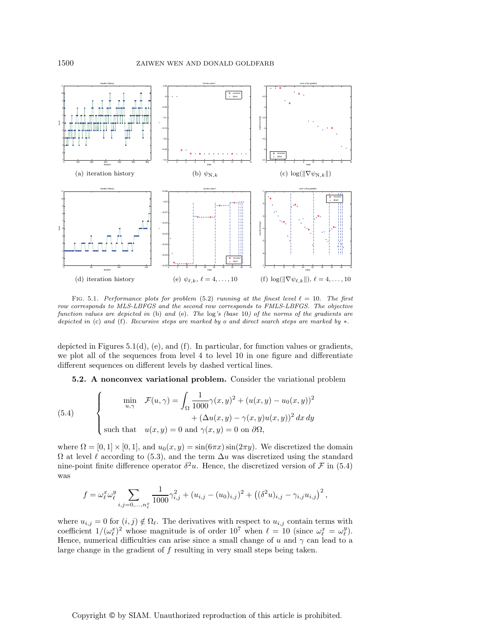

FIG. 5.1. Performance plots for problem (5.2) running at the finest level  $\ell = 10$ . The first row corresponds to MLS-LBFGS and the second row corresponds to FMLS-LBFGS. The objective function values are depicted in (b) and (e). The log's (base 10) of the norms of the gradients are depicted in (c) and (f). Recursive steps are marked by o and direct search steps are marked by ∗.

depicted in Figures 5.1(d), (e), and (f). In particular, for function values or gradients, we plot all of the sequences from level 4 to level 10 in one figure and differentiate different sequences on different levels by dashed vertical lines.

**5.2. A nonconvex variational problem.** Consider the variational problem

(5.4) 
$$
\begin{cases}\n\min_{u,\gamma} \quad \mathcal{F}(u,\gamma) = \int_{\Omega} \frac{1}{1000} \gamma(x,y)^2 + (u(x,y) - u_0(x,y))^2 \\
\quad + (\Delta u(x,y) - \gamma(x,y)u(x,y))^2 dx dy \\
\text{such that} \quad u(x,y) = 0 \text{ and } \gamma(x,y) = 0 \text{ on } \partial\Omega,\n\end{cases}
$$

where  $\Omega = [0, 1] \times [0, 1]$ , and  $u_0(x, y) = \sin(6\pi x) \sin(2\pi y)$ . We discretized the domain  $\Omega$  at level  $\ell$  according to (5.3), and the term  $\Delta u$  was discretized using the standard nine-point finite difference operator  $\delta^2 u$ . Hence, the discretized version of F in (5.4) was

$$
f = \omega_{\ell}^{x} \omega_{\ell}^{y} \sum_{i,j=0,...,n_{\ell}^{x}} \frac{1}{1000} \gamma_{i,j}^{2} + (u_{i,j} - (u_{0})_{i,j})^{2} + ((\delta^{2} u)_{i,j} - \gamma_{i,j} u_{i,j})^{2},
$$

where  $u_{i,j} = 0$  for  $(i, j) \notin \Omega_{\ell}$ . The derivatives with respect to  $u_{i,j}$  contain terms with coefficient  $1/(\omega_{\ell}^x)^2$  whose magnitude is of order  $10^7$  when  $\ell = 10$  (since  $\omega_{\ell}^x = \omega_{\ell}^y$ ). Hence, numerical difficulties can arise since a small change of u and  $\gamma$  can lead to a large change in the gradient of  $f$  resulting in very small steps being taken.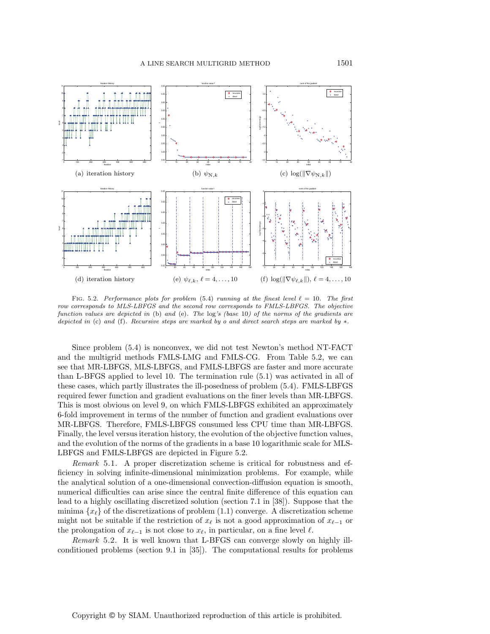

FIG. 5.2. Performance plots for problem (5.4) running at the finest level  $\ell = 10$ . The first row corresponds to MLS-LBFGS and the second row corresponds to FMLS-LBFGS. The objective function values are depicted in (b) and (e). The log's (base 10) of the norms of the gradients are depicted in (c) and (f). Recursive steps are marked by o and direct search steps are marked by ∗.

Since problem (5.4) is nonconvex, we did not test Newton's method NT-FACT and the multigrid methods FMLS-LMG and FMLS-CG. From Table 5.2, we can see that MR-LBFGS, MLS-LBFGS, and FMLS-LBFGS are faster and more accurate than L-BFGS applied to level 10. The termination rule (5.1) was activated in all of these cases, which partly illustrates the ill-posedness of problem (5.4). FMLS-LBFGS required fewer function and gradient evaluations on the finer levels than MR-LBFGS. This is most obvious on level 9, on which FMLS-LBFGS exhibited an approximately 6-fold improvement in terms of the number of function and gradient evaluations over MR-LBFGS. Therefore, FMLS-LBFGS consumed less CPU time than MR-LBFGS. Finally, the level versus iteration history, the evolution of the objective function values, and the evolution of the norms of the gradients in a base 10 logarithmic scale for MLS-LBFGS and FMLS-LBFGS are depicted in Figure 5.2.

*Remark* 5.1. A proper discretization scheme is critical for robustness and efficiency in solving infinite-dimensional minimization problems. For example, while the analytical solution of a one-dimensional convection-diffusion equation is smooth, numerical difficulties can arise since the central finite difference of this equation can lead to a highly oscillating discretized solution (section 7.1 in [38]). Suppose that the minima  $\{x_\ell\}$  of the discretizations of problem (1.1) converge. A discretization scheme might not be suitable if the restriction of  $x_{\ell}$  is not a good approximation of  $x_{\ell-1}$  or the prolongation of  $x_{\ell-1}$  is not close to  $x_{\ell}$ , in particular, on a fine level  $\ell$ .

*Remark* 5.2. It is well known that L-BFGS can converge slowly on highly illconditioned problems (section 9.1 in [35]). The computational results for problems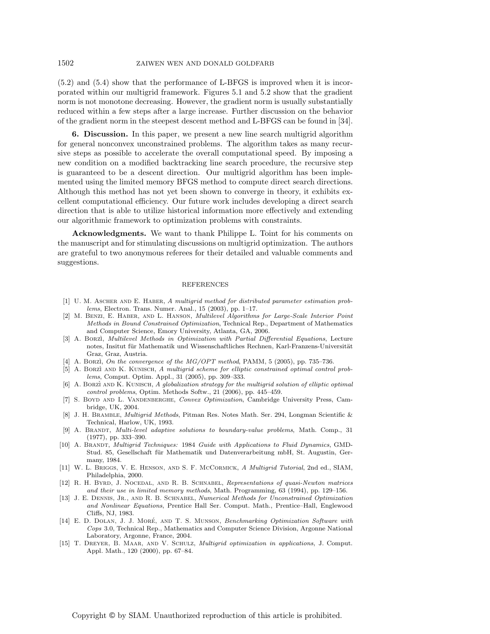(5.2) and (5.4) show that the performance of L-BFGS is improved when it is incorporated within our multigrid framework. Figures 5.1 and 5.2 show that the gradient norm is not monotone decreasing. However, the gradient norm is usually substantially reduced within a few steps after a large increase. Further discussion on the behavior of the gradient norm in the steepest descent method and L-BFGS can be found in [34].

**6. Discussion.** In this paper, we present a new line search multigrid algorithm for general nonconvex unconstrained problems. The algorithm takes as many recursive steps as possible to accelerate the overall computational speed. By imposing a new condition on a modified backtracking line search procedure, the recursive step is guaranteed to be a descent direction. Our multigrid algorithm has been implemented using the limited memory BFGS method to compute direct search directions. Although this method has not yet been shown to converge in theory, it exhibits excellent computational efficiency. Our future work includes developing a direct search direction that is able to utilize historical information more effectively and extending our algorithmic framework to optimization problems with constraints.

**Acknowledgments.** We want to thank Philippe L. Toint for his comments on the manuscript and for stimulating discussions on multigrid optimization. The authors are grateful to two anonymous referees for their detailed and valuable comments and suggestions.

### REFERENCES

- [1] U. M. Ascher and E. Haber, A multigrid method for distributed parameter estimation problems, Electron. Trans. Numer. Anal., 15 (2003), pp. 1–17.
- [2] M. Benzi, E. Haber, and L. Hanson, Multilevel Algorithms for Large-Scale Interior Point Methods in Bound Constrained Optimization, Technical Rep., Department of Mathematics and Computer Science, Emory University, Atlanta, GA, 2006.
- [3] A. BORZI, Multilevel Methods in Optimization with Partial Differential Equations, Lecture notes, Insitut für Mathematik und Wissenschaftliches Rechnen, Karl-Franzens-Universität Graz, Graz, Austria.
- [4] A. Borzì, On the convergence of the  $MG/OPT$  method, PAMM, 5 (2005), pp. 735–736.
- [5] A. BORZÌ AND K. KUNISCH, A multigrid scheme for elliptic constrained optimal control problems, Comput. Optim. Appl., 31 (2005), pp. 309–333.
- [6] A. BORZÌ AND K. KUNISCH, A globalization strategy for the multigrid solution of elliptic optimal control problems, Optim. Methods Softw., 21 (2006), pp. 445–459.
- [7] S. Boyd and L. Vandenberghe, Convex Optimization, Cambridge University Press, Cambridge, UK, 2004.
- [8] J. H. Bramble, Multigrid Methods, Pitman Res. Notes Math. Ser. 294, Longman Scientific & Technical, Harlow, UK, 1993.
- [9] A. Brandt, Multi-level adaptive solutions to boundary-value problems, Math. Comp., 31 (1977), pp. 333–390.
- [10] A. BRANDT, Multigrid Techniques: 1984 Guide with Applications to Fluid Dynamics, GMD-Stud. 85, Gesellschaft für Mathematik und Datenverarbeitung mbH, St. Augustin, Germany, 1984.
- [11] W. L. Briggs, V. E. Henson, and S. F. McCormick, A Multigrid Tutorial, 2nd ed., SIAM, Philadelphia, 2000.
- [12] R. H. Byrd, J. Nocedal, and R. B. Schnabel, Representations of quasi-Newton matrices and their use in limited memory methods, Math. Programming, 63 (1994), pp. 129–156.
- [13] J. E. DENNIS, JR., AND R. B. SCHNABEL, Numerical Methods for Unconstrained Optimization and Nonlinear Equations, Prentice Hall Ser. Comput. Math., Prentice–Hall, Englewood Cliffs, NJ, 1983.
- [14] E. D. DOLAN, J. J. MORÉ, AND T. S. MUNSON, Benchmarking Optimization Software with Cops 3.0, Technical Rep., Mathematics and Computer Science Division, Argonne National Laboratory, Argonne, France, 2004.
- [15] T. DREYER, B. MAAR, AND V. SCHULZ, *Multigrid optimization in applications*, J. Comput. Appl. Math., 120 (2000), pp. 67–84.